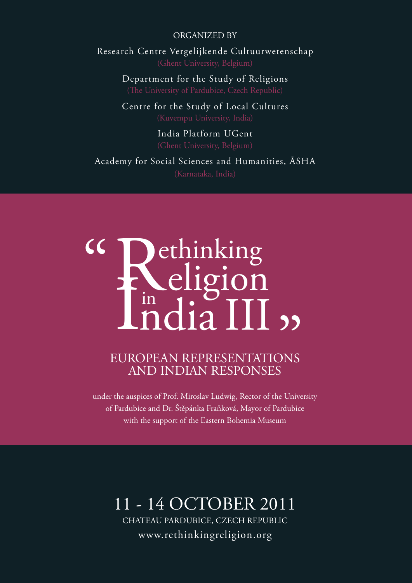### ORGANIZED BY

Research Centre Vergelijkende Cultuurwetenschap

Department for the Study of Religions

Centre for the Study of Local Cultures

India Platform UGent

Academy for Social Sciences and Humanities, ĀSHA

### R **I** ethinking eligion in dia III :  $cc$

## EUROPEAN REPRESENTATIONS AND INDIAN RESPONSES  $\frac{1}{\sqrt{2}}$ <br> $\frac{1}{\sqrt{2}}$

under the auspices of Prof. Miroslav Ludwig, Rector of the University of Pardubice and Dr. Štěpánka Fraňková, Mayor of Pardubice with the support of the Eastern Bohemia Museum

### 11 - 14 OCTOBER 2011

Chateau Pardubice, Czech Republic www.rethinkingreligion.org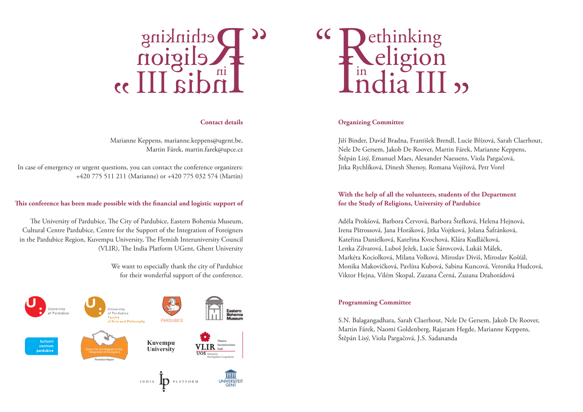

### **Contact details**

Marianne Keppens, marianne.keppens@ugent.be, Martin Fárek, martin.farek@upce.cz

In case of emergency or urgent questions, you can contact the conference organizers: +420 775 511 211 (Marianne) or +420 775 032 574 (Martin)

### **This conference has been made possible with the financial and logistic support of**

The University of Pardubice, The City of Pardubice, Eastern Bohemia Museum, Cultural Centre Pardubice, Centre for the Support of the Integration of Foreigners in the Pardubice Region, Kuvempu University, The Flemish Interuniversity Council (VLIR), The India Platform UGent, Ghent University

> We want to especially thank the city of Pardubice for their wonderful support of the conference.





### **Organizing Committee**

Jiří Binder, David Bradna, František Brendl, Lucie Břízová, Sarah Claerhout, Nele De Gersem, Jakob De Roover, Martin Fárek, Marianne Keppens, Štěpán Lisý, Emanuel Maes, Alexander Naessens, Viola Pargačová, Jitka Rychlíková, Dinesh Shenoy, Romana Vojířová, Petr Vorel

### **With the help of all the volunteers, students of the Department for the Study of Religions, University of Pardubice**

Adéla Prokšová, Barbora Červová, Barbora Štefková, Helena Hejnová, Irena Pštrossová, Jana Horáková, Jitka Vojtková, Jolana Šafránková, Kateřina Danielková, Kateřina Kvochová, Klára Kudláčková, Lenka Zilvarová, Luboš Ježek, Lucie Šárovcová, Lukáš Málek, Markéta Kociolková, Milana Volková, Miroslav Diviš, Miroslav Košťál, Monika Makovičková, Pavlína Kubová, Sabina Kuncová, Veronika Hudcová, Viktor Hejna, Vilém Skopal, Zuzana Černá, Zuzana Drahorádová

### **Programming Committee**

S.N. Balagangadhara, Sarah Claerhout, Nele De Gersem, Jakob De Roover, Martin Fárek, Naomi Goldenberg, Rajaram Hegde, Marianne Keppens, Štěpán Lisý, Viola Pargačová, J.S. Sadananda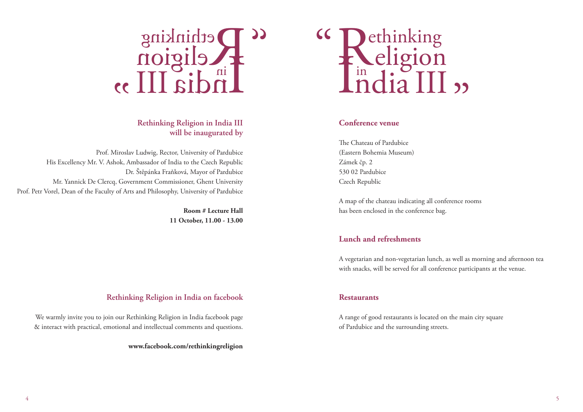

### **Rethinking Religion in India III will be inaugurated by**

Prof. Miroslav Ludwig, Rector, University of Pardubice His Excellency Mr. V. Ashok, Ambassador of India to the Czech Republic Dr. Štěpánka Fraňková, Mayor of Pardubice Mr. Yannick De Clercq, Government Commissioner, Ghent University Prof. Petr Vorel, Dean of the Faculty of Arts and Philosophy, University of Pardubice

> **Room # Lecture Hall 11 October, 11.00 - 13.00**

### R I ethinking eligion in dia III  $cc$  $\prod_{j=1}^{n}$

### **Conference venue**

The Chateau of Pardubice (Eastern Bohemia Museum) Zámek čp. 2 530 02 Pardubice Czech Republic

A map of the chateau indicating all conference rooms has been enclosed in the conference bag.

### **Lunch and refreshments**

A vegetarian and non-vegetarian lunch, as well as morning and afternoon tea with snacks, will be served for all conference participants at the venue.

### **Restaurants**

A range of good restaurants is located on the main city square of Pardubice and the surrounding streets.

### **Rethinking Religion in India on facebook**

We warmly invite you to join our Rethinking Religion in India facebook page & interact with practical, emotional and intellectual comments and questions.

**www.facebook.com/rethinkingreligion**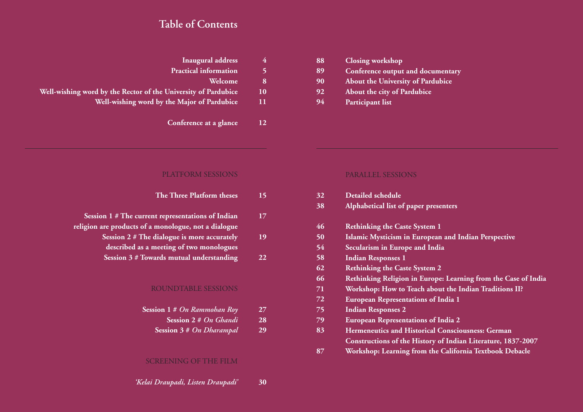### **Table of Contents**

| <b>Inaugural address</b>                                       |    |
|----------------------------------------------------------------|----|
| <b>Practical information</b>                                   |    |
| Welcome                                                        | 8  |
| Well-wishing word by the Rector of the University of Pardubice | 10 |
| Well-wishing word by the Major of Pardubice                    | 11 |
| Conference at a glance                                         | 12 |

| 88 | <b>Closing workshop</b>           |
|----|-----------------------------------|
| 89 | Conference output and documentary |
| 90 | About the University of Pardubice |
| 92 | About the city of Pardubice       |
| 94 | Participant list                  |

### PLATFORM SESSIONS

| The Three Platform theses                            | 15 |
|------------------------------------------------------|----|
| Session 1 # The current representations of Indian    | 17 |
| religion are products of a monologue, not a dialogue |    |
| Session 2 # The dialogue is more accurately          | 19 |
| described as a meeting of two monologues             |    |
| Session 3 # Towards mutual understanding             | 22 |
|                                                      |    |
|                                                      |    |
| ROUNDTABLE SESSIONS                                  |    |

| Session $1 \# On Rammohan Roy$     | 27 |
|------------------------------------|----|
| Session 2 # On Ghandi <sup>'</sup> | 28 |

**Session 3 #** *On Dharampal* **29**

### SCREENING OF THE FILM

### *'Kelai Draupadi, Listen Draupadi'* **30**

### PARALLEL SESSIONS

| 32 | <b>Detailed schedule</b>                                       |
|----|----------------------------------------------------------------|
| 38 | Alphabetical list of paper presenters                          |
| 46 | <b>Rethinking the Caste System 1</b>                           |
| 50 | Islamic Mysticism in European and Indian Perspective           |
| 54 | Secularism in Europe and India                                 |
| 58 | <b>Indian Responses 1</b>                                      |
| 62 | <b>Rethinking the Caste System 2</b>                           |
| 66 | Rethinking Religion in Europe: Learning from the Case of India |
| 71 | Workshop: How to Teach about the Indian Traditions II?         |
| 72 | <b>European Representations of India 1</b>                     |
| 75 | <b>Indian Responses 2</b>                                      |
| 79 | <b>European Representations of India 2</b>                     |
| 83 | <b>Hermeneutics and Historical Consciousness: German</b>       |
|    | Constructions of the History of Indian Literature, 1837-2007   |
| 87 | Workshop: Learning from the California Textbook Debacle        |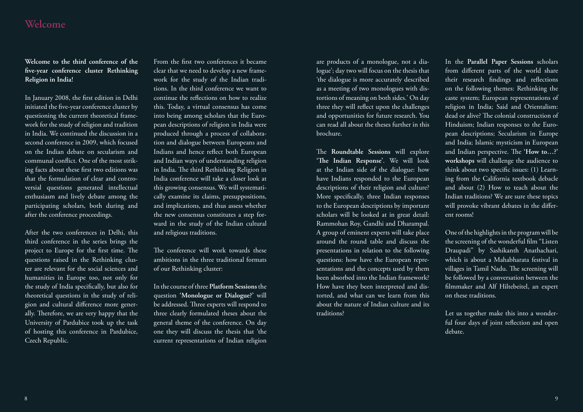### **Welcome**

**Welcome to the third conference of the five-year conference cluster Rethinking Religion in India!** 

In January 2008, the first edition in Delhi initiated the five-year conference cluster by questioning the current theoretical framework for the study of religion and tradition in India. We continued the discussion in a second conference in 2009, which focused on the Indian debate on secularism and communal conflict. One of the most striking facts about these first two editions was that the formulation of clear and controversial questions generated intellectual enthusiasm and lively debate among the participating scholars, both during and after the conference proceedings.

After the two conferences in Delhi, this third conference in the series brings the project to Europe for the first time. The questions raised in the Rethinking cluster are relevant for the social sciences and humanities in Europe too, not only for the study of India specifically, but also for theoretical questions in the study of religion and cultural difference more generally. Therefore, we are very happy that the University of Pardubice took up the task of hosting this conference in Pardubice, Czech Republic.

From the first two conferences it became clear that we need to develop a new framework for the study of the Indian traditions. In the third conference we want to continue the reflections on how to realize this. Today, a virtual consensus has come into being among scholars that the European descriptions of religion in India were produced through a process of collaboration and dialogue between Europeans and Indians and hence reflect both European and Indian ways of understanding religion in India. The third Rethinking Religion in India conference will take a closer look at this growing consensus. We will systematically examine its claims, presuppositions, and implications, and thus assess whether the new consensus constitutes a step forward in the study of the Indian cultural and religious traditions.

The conference will work towards these ambitions in the three traditional formats of our Rethinking cluster:

In the course of three **Platform Sessions** the question **'Monologue or Dialogue?'** will be addressed. Three experts will respond to three clearly formulated theses about the general theme of the conference. On day one they will discuss the thesis that 'the current representations of Indian religion

are products of a monologue, not a dialogue'; day two will focus on the thesis that 'the dialogue is more accurately described as a meeting of two monologues with distortions of meaning on both sides.' On day three they will reflect upon the challenges and opportunities for future research. You can read all about the theses further in this brochure.

The **Roundtable Sessions** will explore **'The Indian Response'**. We will look at the Indian side of the dialogue: how have Indians responded to the European descriptions of their religion and culture? More specifically, three Indian responses to the European descriptions by important scholars will be looked at in great detail: Rammohan Roy, Gandhi and Dharampal. A group of eminent experts will take place around the round table and discuss the presentations in relation to the following questions: how have the European representations and the concepts used by them been absorbed into the Indian framework? How have they been interpreted and distorted, and what can we learn from this about the nature of Indian culture and its traditions?

In the **Parallel Paper Sessions** scholars from different parts of the world share their research findings and reflections on the following themes: Rethinking the caste system; European representations of religion in India; Said and Orientalism: dead or alive? The colonial construction of Hinduism; Indian responses to the European descriptions; Secularism in Europe and India; Islamic mysticism in European and Indian perspective. The **'How to…?' workshops** will challenge the audience to think about two specific issues: (1) Learning from the California textbook debacle and about (2) How to teach about the Indian traditions? We are sure these topics will provoke vibrant debates in the different rooms!

One of the highlights in the program will be the screening of the wonderful film "Listen Draupadi" by Sashikanth Anathachari, which is about a Mahabharata festival in villages in Tamil Nadu. The screening will be followed by a conversation between the filmmaker and Alf Hiltebeitel, an expert on these traditions.

Let us together make this into a wonderful four days of joint reflection and open debate.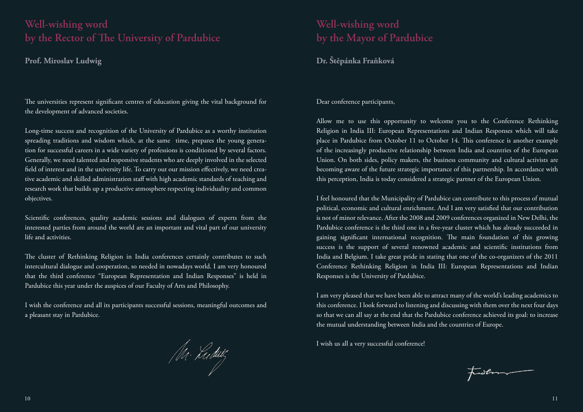### **Well-wishing word by the Rector of The University of Pardubice**

### **Prof. Miroslav Ludwig**

The universities represent significant centres of education giving the vital background for the development of advanced societies.

Long-time success and recognition of the University of Pardubice as a worthy institution spreading traditions and wisdom which, at the same time, prepares the young generation for successful careers in a wide variety of professions is conditioned by several factors. Generally, we need talented and responsive students who are deeply involved in the selected field of interest and in the university life. To carry out our mission effectively, we need creative academic and skilled administration staff with high academic standards of teaching and research work that builds up a productive atmosphere respecting individuality and common objectives.

Scientific conferences, quality academic sessions and dialogues of experts from the interested parties from around the world are an important and vital part of our university life and activities.

The cluster of Rethinking Religion in India conferences certainly contributes to such intercultural dialogue and cooperation, so needed in nowadays world. I am very honoured that the third conference "European Representation and Indian Responses" is held in Pardubice this year under the auspices of our Faculty of Arts and Philosophy.

I wish the conference and all its participants successful sessions, meaningful outcomes and a pleasant stay in Pardubice.

/M· Ludwij

### **Well-wishing word by the Mayor of Pardubice**

### **Dr. Štěpánka Fraňková**

### Dear conference participants,

Allow me to use this opportunity to welcome you to the Conference Rethinking Religion in India III: European Representations and Indian Responses which will take place in Pardubice from October 11 to October 14. This conference is another example of the increasingly productive relationship between India and countries of the European Union. On both sides, policy makers, the business community and cultural activists are becoming aware of the future strategic importance of this partnership. In accordance with this perception, India is today considered a strategic partner of the European Union.

I feel honoured that the Municipality of Pardubice can contribute to this process of mutual political, economic and cultural enrichment. And I am very satisfied that our contribution is not of minor relevance. After the 2008 and 2009 conferences organized in New Delhi, the Pardubice conference is the third one in a five-year cluster which has already succeeded in gaining significant international recognition. The main foundation of this growing success is the support of several renowned academic and scientific institutions from India and Belgium. I take great pride in stating that one of the co-organizers of the 2011 Conference Rethinking Religion in India III: European Representations and Indian Responses is the University of Pardubice.

I am very pleased that we have been able to attract many of the world's leading academics to this conference. I look forward to listening and discussing with them over the next four days so that we can all say at the end that the Pardubice conference achieved its goal: to increase the mutual understanding between India and the countries of Europe.

I wish us all a very successful conference!

trailment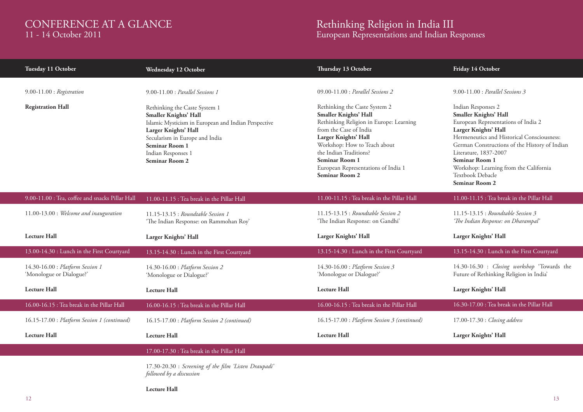### CONFERENCE AT A GLANCE 11 - 14 October 2011

### Rethinking Religion in India III European Representations and Indian Responses

| Tuesday 11 October                                           | Wednesday 12 October                                                                                                                                                                                                                                                          | Thursday 13 October                                                                                                                                                                                                                                                                                                                         | Friday 14 October                                                                                                                                                                                                                                                                                                                                                                          |
|--------------------------------------------------------------|-------------------------------------------------------------------------------------------------------------------------------------------------------------------------------------------------------------------------------------------------------------------------------|---------------------------------------------------------------------------------------------------------------------------------------------------------------------------------------------------------------------------------------------------------------------------------------------------------------------------------------------|--------------------------------------------------------------------------------------------------------------------------------------------------------------------------------------------------------------------------------------------------------------------------------------------------------------------------------------------------------------------------------------------|
| $9.00 - 11.00$ : Registration<br><b>Registration Hall</b>    | 9.00-11.00 : Parallel Sessions 1<br>Rethinking the Caste System 1<br>Smaller Knights' Hall<br>Islamic Mysticism in European and Indian Perspective<br>Larger Knights' Hall<br>Secularism in Europe and India<br>Seminar Room 1<br>Indian Responses 1<br><b>Seminar Room 2</b> | 09.00-11.00 : Parallel Sessions 2<br>Rethinking the Caste System 2<br><b>Smaller Knights' Hall</b><br>Rethinking Religion in Europe: Learning<br>from the Case of India<br>Larger Knights' Hall<br>Workshop: How to Teach about<br>the Indian Traditions?<br>Seminar Room 1<br>European Representations of India 1<br><b>Seminar Room 2</b> | $9.00 - 11.00$ : Parallel Sessions 3<br>Indian Responses 2<br><b>Smaller Knights' Hall</b><br>European Representations of India 2<br>Larger Knights' Hall<br>Hermeneutics and Historical Consciousness:<br>German Constructions of the History of Indian<br>Literature, 1837-2007<br>Seminar Room 1<br>Workshop: Learning from the California<br>Textbook Debacle<br><b>Seminar Room 2</b> |
| 9.00-11.00 : Tea, coffee and snacks Pillar Hall              | 11.00-11.15 : Tea break in the Pillar Hall                                                                                                                                                                                                                                    | 11.00-11.15 : Tea break in the Pillar Hall                                                                                                                                                                                                                                                                                                  | 11.00-11.15 : Tea break in the Pillar Hall                                                                                                                                                                                                                                                                                                                                                 |
| 11.00-13.00 : Welcome and inauguration                       | 11.15-13.15 : Roundtable Session 1<br>'The Indian Response: on Rammohan Roy'                                                                                                                                                                                                  | 11.15-13.15 : Roundtable Session 2<br>'The Indian Response: on Gandhi'                                                                                                                                                                                                                                                                      | 11.15-13.15 : Roundtable Session 3<br>'The Indian Response: on Dharampal'                                                                                                                                                                                                                                                                                                                  |
| <b>Lecture Hall</b>                                          | Larger Knights' Hall                                                                                                                                                                                                                                                          | Larger Knights' Hall                                                                                                                                                                                                                                                                                                                        | Larger Knights' Hall                                                                                                                                                                                                                                                                                                                                                                       |
| 13.00-14.30 : Lunch in the First Courtyard                   | 13.15-14.30 : Lunch in the First Courtyard                                                                                                                                                                                                                                    | 13.15-14.30 : Lunch in the First Courtyard                                                                                                                                                                                                                                                                                                  | 13.15-14.30 : Lunch in the First Courtyard                                                                                                                                                                                                                                                                                                                                                 |
| 14.30-16.00 : Platform Session 1<br>'Monologue or Dialogue?' | 14.30-16.00 : Platform Session 2<br>'Monologue or Dialogue?'                                                                                                                                                                                                                  | 14.30-16.00 : Platform Session 3<br>'Monologue or Dialogue?'                                                                                                                                                                                                                                                                                | 14.30-16.30 : Closing workshop 'Towards the<br>Future of Rethinking Religion in India'                                                                                                                                                                                                                                                                                                     |
| <b>Lecture Hall</b>                                          | <b>Lecture Hall</b>                                                                                                                                                                                                                                                           | <b>Lecture Hall</b>                                                                                                                                                                                                                                                                                                                         | Larger Knights' Hall                                                                                                                                                                                                                                                                                                                                                                       |
| 16.00-16.15 : Tea break in the Pillar Hall                   | 16.00-16.15 : Tea break in the Pillar Hall                                                                                                                                                                                                                                    | 16.00-16.15 : Tea break in the Pillar Hall                                                                                                                                                                                                                                                                                                  | 16.30-17.00 : Tea break in the Pillar Hall                                                                                                                                                                                                                                                                                                                                                 |
| 16.15-17.00 : Platform Session 1 (continued)                 | 16.15-17.00 : Platform Session 2 (continued)                                                                                                                                                                                                                                  | 16.15-17.00 : Platform Session 3 (continued)                                                                                                                                                                                                                                                                                                | 17.00-17.30 : Closing address                                                                                                                                                                                                                                                                                                                                                              |
| <b>Lecture Hall</b>                                          | <b>Lecture Hall</b>                                                                                                                                                                                                                                                           | <b>Lecture Hall</b>                                                                                                                                                                                                                                                                                                                         | Larger Knights' Hall                                                                                                                                                                                                                                                                                                                                                                       |
|                                                              | 17.00-17.30 : Tea break in the Pillar Hall                                                                                                                                                                                                                                    |                                                                                                                                                                                                                                                                                                                                             |                                                                                                                                                                                                                                                                                                                                                                                            |
|                                                              | 17.30-20.30 : Screening of the film 'Listen Draupadi'<br>followed by a discussion                                                                                                                                                                                             |                                                                                                                                                                                                                                                                                                                                             |                                                                                                                                                                                                                                                                                                                                                                                            |

### **Lecture Hall**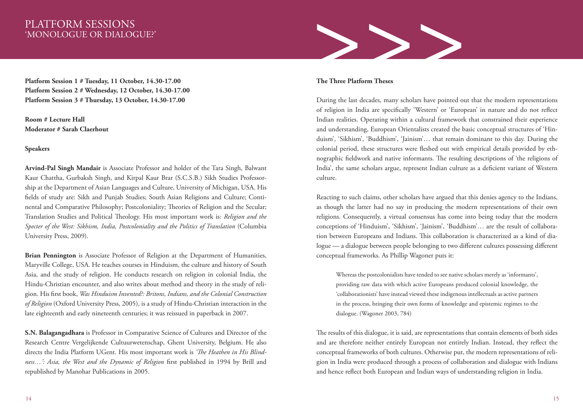### PLATFORM SESSIONS 'MONOLOGUE OR DIALOGUE?'

**Platform Session 1 # Tuesday, 11 October, 14.30-17.00 Platform Session 2 # Wednesday, 12 October, 14.30-17.00 Platform Session 3 # Thursday, 13 October, 14.30-17.00** 

**Room # Lecture Hall Moderator # Sarah Claerhout**

**Speakers**

**Arvind-Pal Singh Mandair** is Associate Professor and holder of the Tara Singh, Balwant Kaur Chattha, Gurbaksh Singh, and Kirpal Kaur Brar (S.C.S.B.) Sikh Studies Professorship at the Department of Asian Languages and Culture, University of Michigan, USA. His fields of study are: Sikh and Punjab Studies; South Asian Religions and Culture; Continental and Comparative Philosophy; Postcoloniality; Theories of Religion and the Secular; Translation Studies and Political Theology. His most important work is: *Religion and the Specter of the West: Sikhism, India, Postcoloniality and the Politics of Translation* (Columbia University Press, 2009).

**Brian Pennington** is Associate Professor of Religion at the Department of Humanities, Maryville College, USA. He teaches courses in Hinduism, the culture and history of South Asia, and the study of religion. He conducts research on religion in colonial India, the Hindu-Christian encounter, and also writes about method and theory in the study of religion. His first book, *Was Hinduism Invented?: Britons, Indians, and the Colonial Construction of Religion* (Oxford University Press, 2005), is a study of Hindu-Christian interaction in the late eighteenth and early nineteenth centuries; it was reissued in paperback in 2007.

**S.N. Balagangadhara** is Professor in Comparative Science of Cultures and Director of the Research Centre Vergelijkende Cultuurwetenschap, Ghent University, Belgium. He also directs the India Platform UGent. His most important work is *'The Heathen in His Blindness…': Asia, the West and the Dynamic of Religion* first published in 1994 by Brill and republished by Manohar Publications in 2005.



### **The Three Platform Theses**

During the last decades, many scholars have pointed out that the modern representations of religion in India are specifically 'Western' or 'European' in nature and do not reflect Indian realities. Operating within a cultural framework that constrained their experience and understanding, European Orientalists created the basic conceptual structures of 'Hinduism', 'Sikhism', 'Buddhism', 'Jainism'… that remain dominant to this day. During the colonial period, these structures were fleshed out with empirical details provided by ethnographic fieldwork and native informants. The resulting descriptions of 'the religions of India', the same scholars argue, represent Indian culture as a deficient variant of Western culture.

Reacting to such claims, other scholars have argued that this denies agency to the Indians, as though the latter had no say in producing the modern representations of their own religions. Consequently, a virtual consensus has come into being today that the modern conceptions of 'Hinduism', 'Sikhism', 'Jainism', 'Buddhism'… are the result of collaboration between Europeans and Indians. This collaboration is characterized as a kind of dialogue — a dialogue between people belonging to two different cultures possessing different conceptual frameworks. As Phillip Wagoner puts it:

Whereas the postcolonialists have tended to see native scholars merely as 'informants', providing raw data with which active Europeans produced colonial knowledge, the 'collaborationists' have instead viewed these indigenous intellectuals as active partners in the process, bringing their own forms of knowledge and epistemic regimes to the dialogue. (Wagoner 2003, 784)

The results of this dialogue, it is said, are representations that contain elements of both sides and are therefore neither entirely European nor entirely Indian. Instead, they reflect the conceptual frameworks of both cultures. Otherwise put, the modern representations of religion in India were produced through a process of collaboration and dialogue with Indians and hence reflect both European and Indian ways of understanding religion in India.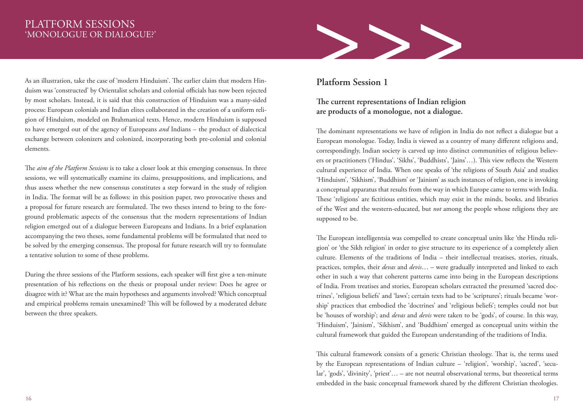# 'MONOLOGUE OR DIALOGUE?'

PLATFORM SESSIONS<br>"MONOLOGUE OR DIALOGUE?"<br>As an illustration, take the case of 'modern Hinduism'. The earlier claim that modern Hin-<br>duism was 'constructed' by Orientalist scholars and colonial officials has now been reje As an illustration, take the case of 'modern Hinduism'. The earlier claim that modern Hinduism was 'constructed' by Orientalist scholars and colonial officials has now been rejected by most scholars. Instead, it is said that this construction of Hinduism was a many-sided process: European colonials and Indian elites collaborated in the creation of a uniform religion of Hinduism, modeled on Brahmanical texts. Hence, modern Hinduism is supposed to have emerged out of the agency of Europeans *and* Indians – the product of dialectical exchange between colonizers and colonized, incorporating both pre-colonial and colonial elements.

The *aim of the Platform Sessions* is to take a closer look at this emerging consensus. In three sessions, we will systematically examine its claims, presuppositions, and implications, and thus assess whether the new consensus constitutes a step forward in the study of religion in India. The format will be as follows: in this position paper, two provocative theses and a proposal for future research are formulated. The two theses intend to bring to the foreground problematic aspects of the consensus that the modern representations of Indian religion emerged out of a dialogue between Europeans and Indians. In a brief explanation accompanying the two theses, some fundamental problems will be formulated that need to be solved by the emerging consensus. The proposal for future research will try to formulate a tentative solution to some of these problems.

During the three sessions of the Platform sessions, each speaker will first give a ten-minute presentation of his reflections on the thesis or proposal under review: Does he agree or disagree with it? What are the main hypotheses and arguments involved? Which conceptual and empirical problems remain unexamined? This will be followed by a moderated debate between the three speakers.

# **Platform Session 1**

### **The current representations of Indian religion are products of a monologue, not a dialogue.**

The dominant representations we have of religion in India do not reflect a dialogue but a European monologue. Today, India is viewed as a country of many different religions and, correspondingly, Indian society is carved up into distinct communities of religious believers or practitioners ('Hindus', 'Sikhs', 'Buddhists', 'Jains'…). This view reflects the Western cultural experience of India. When one speaks of 'the religions of South Asia' and studies 'Hinduism', 'Sikhism', 'Buddhism' or 'Jainism' as such instances of religion, one is invoking a conceptual apparatus that results from the way in which Europe came to terms with India. These 'religions' are fictitious entities, which may exist in the minds, books, and libraries of the West and the western-educated, but *not* among the people whose religions they are supposed to be.

The European intelligentsia was compelled to create conceptual units like 'the Hindu religion' or 'the Sikh religion' in order to give structure to its experience of a completely alien culture. Elements of the traditions of India – their intellectual treatises, stories, rituals, practices, temples, their *devas* and *devis*… – were gradually interpreted and linked to each other in such a way that coherent patterns came into being in the European descriptions of India. From treatises and stories, European scholars extracted the presumed 'sacred doctrines', 'religious beliefs' and 'laws'; certain texts had to be 'scriptures'; rituals became 'worship' practices that embodied the 'doctrines' and 'religious beliefs'; temples could not but be 'houses of worship'; and *devas* and *devis* were taken to be 'gods', of course. In this way, 'Hinduism', 'Jainism', 'Sikhism', and 'Buddhism' emerged as conceptual units within the cultural framework that guided the European understanding of the traditions of India.

This cultural framework consists of a generic Christian theology. That is, the terms used by the European representations of Indian culture – 'religion', 'worship', 'sacred', 'secular', 'gods', 'divinity', 'priest'… – are not neutral observational terms, but theoretical terms embedded in the basic conceptual framework shared by the different Christian theologies.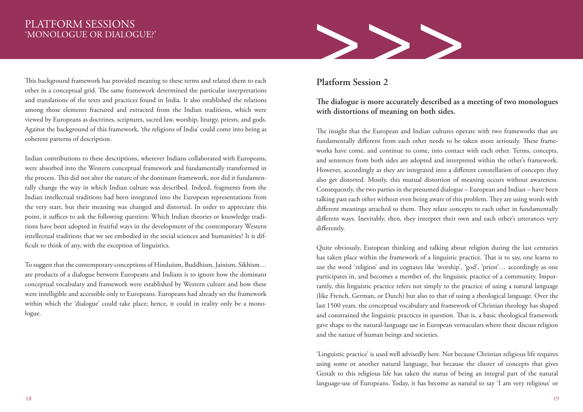# 'MONOLOGUE OR DIALOGUE?'

This background framework has provided meaning to these terms and related them to each other in a conceptual grid. The same framework determined the particular interpretations and translations of the texts and practices found in India. It also established the relations among those elements fractured and extracted from the Indian traditions, which were viewed by Europeans as doctrines, scriptures, sacred law, worship, liturgy, priests, and gods. Against the background of this framework, 'the religions of India' could come into being as coherent patterns of description.

Indian contributions to these descriptions, wherever Indians collaborated with Europeans, were absorbed into the Western conceptual framework and fundamentally transformed in the process. This did not alter the nature of the dominant framework, nor did it fundamentally change the way in which Indian culture was described. Indeed, fragments from the Indian intellectual traditions had been integrated into the European representations from the very start, but their meaning was changed and distorted. In order to appreciate this point, it suffices to ask the following question: Which Indian theories or knowledge traditions have been adopted in fruitful ways in the development of the contemporary Western intellectual traditions that we see embodied in the social sciences and humanities? It is difficult to think of any, with the exception of linguistics.

To suggest that the contemporary conceptions of Hinduism, Buddhism, Jainism, Sikhism… are products of a dialogue between Europeans and Indians is to ignore how the dominant conceptual vocabulary and framework were established by Western culture and how these were intelligible and accessible only to Europeans. Europeans had already set the framework within which the 'dialogue' could take place; hence, it could in reality only be a monologue.



### **Platform Session 2**

### **The dialogue is more accurately described as a meeting of two monologues with distortions of meaning on both sides.**

The insight that the European and Indian cultures operate with two frameworks that are fundamentally different from each other needs to be taken more seriously. These frameworks have come, and continue to come, into contact with each other. Terms, concepts, and sentences from both sides are adopted and interpreted within the other's framework. However, accordingly as they are integrated into a different constellation of concepts they also get distorted. Mostly, this mutual distortion of meaning occurs without awareness. Consequently, the two parties in the presumed dialogue – European and Indian – have been talking past each other without even being aware of this problem. They are using words with different meanings attached to them. They relate concepts to each other in fundamentally different ways. Inevitably, then, they interpret their own and each other's utterances very differently.

Quite obviously, European thinking and talking about religion during the last centuries has taken place within the framework of a linguistic practice. That is to say, one learns to use the word 'religion' and its cognates like 'worship', 'god', 'priest'… accordingly as one participates in, and becomes a member of, the linguistic practice of a community. Importantly, this linguistic practice refers not simply to the practice of using a natural language (like French, German, or Dutch) but also to that of using a theological language. Over the last 1500 years, the conceptual vocabulary and framework of Christian theology has shaped and constrained the linguistic practices in question. That is, a basic theological framework gave shape to the natural-language use in European vernaculars where these discuss religion and the nature of human beings and societies.

'Linguistic practice' is used well advisedly here. Not because Christian religious life requires using some or another natural language, but because the cluster of concepts that gives Gestalt to this religious life has taken the status of being an integral part of the natural language-use of Europeans. Today, it has become as natural to say 'I am very religious' or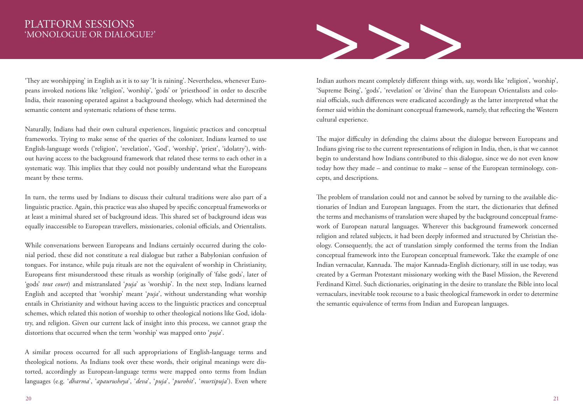# 'MONOLOGUE OR DIALOGUE?'

'They are worshipping' in English as it is to say 'It is raining'. Nevertheless, whenever Europeans invoked notions like 'religion', 'worship', 'gods' or 'priesthood' in order to describe India, their reasoning operated against a background theology, which had determined the semantic content and systematic relations of these terms.

Naturally, Indians had their own cultural experiences, linguistic practices and conceptual frameworks. Trying to make sense of the queries of the colonizer, Indians learned to use English-language words ('religion', 'revelation', 'God', 'worship', 'priest', 'idolatry'), without having access to the background framework that related these terms to each other in a systematic way. This implies that they could not possibly understand what the Europeans meant by these terms.

In turn, the terms used by Indians to discuss their cultural traditions were also part of a linguistic practice. Again, this practice was also shaped by specific conceptual frameworks or at least a minimal shared set of background ideas. This shared set of background ideas was equally inaccessible to European travellers, missionaries, colonial officials, and Orientalists.

While conversations between Europeans and Indians certainly occurred during the colonial period, these did not constitute a real dialogue but rather a Babylonian confusion of tongues. For instance, while puja rituals are not the equivalent of worship in Christianity, Europeans first misunderstood these rituals as worship (originally of 'false gods', later of 'gods' *tout court*) and mistranslated '*puja*' as 'worship'. In the next step, Indians learned English and accepted that 'worship' meant '*puja*', without understanding what worship entails in Christianity and without having access to the linguistic practices and conceptual schemes, which related this notion of worship to other theological notions like God, idolatry, and religion. Given our current lack of insight into this process, we cannot grasp the distortions that occurred when the term 'worship' was mapped onto '*puja*'.

A similar process occurred for all such appropriations of English-language terms and theological notions. As Indians took over these words, their original meanings were distorted, accordingly as European-language terms were mapped onto terms from Indian languages (e.g. '*dharma*', '*apaurusheya*', '*deva*', '*puja*', '*purohit*', '*murtipuja*'). Even where



Indian authors meant completely different things with, say, words like 'religion', 'worship', 'Supreme Being', 'gods', 'revelation' or 'divine' than the European Orientalists and colonial officials, such differences were eradicated accordingly as the latter interpreted what the former said within the dominant conceptual framework, namely, that reflecting the Western cultural experience.

The major difficulty in defending the claims about the dialogue between Europeans and Indians giving rise to the current representations of religion in India, then, is that we cannot begin to understand how Indians contributed to this dialogue, since we do not even know today how they made – and continue to make – sense of the European terminology, concepts, and descriptions.

The problem of translation could not and cannot be solved by turning to the available dictionaries of Indian and European languages. From the start, the dictionaries that defined the terms and mechanisms of translation were shaped by the background conceptual framework of European natural languages. Wherever this background framework concerned religion and related subjects, it had been deeply informed and structured by Christian theology. Consequently, the act of translation simply conformed the terms from the Indian conceptual framework into the European conceptual framework. Take the example of one Indian vernacular, Kannada. The major Kannada-English dictionary, still in use today, was created by a German Protestant missionary working with the Basel Mission, the Reverend Ferdinand Kittel. Such dictionaries, originating in the desire to translate the Bible into local vernaculars, inevitable took recourse to a basic theological framework in order to determine the semantic equivalence of terms from Indian and European languages.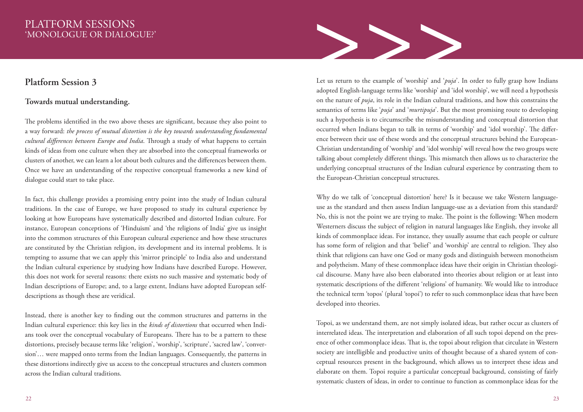### PLATFORM SESSIONS 'MONOLOGUE OR DIALOGUE?'

### **Platform Session 3**

### **Towards mutual understanding.**

The problems identified in the two above theses are significant, because they also point to a way forward: *the process of mutual distortion is the key towards understanding fundamental cultural differences between Europe and India*. Through a study of what happens to certain kinds of ideas from one culture when they are absorbed into the conceptual frameworks or clusters of another, we can learn a lot about both cultures and the differences between them. Once we have an understanding of the respective conceptual frameworks a new kind of dialogue could start to take place.

In fact, this challenge provides a promising entry point into the study of Indian cultural traditions. In the case of Europe, we have proposed to study its cultural experience by looking at how Europeans have systematically described and distorted Indian culture. For instance, European conceptions of 'Hinduism' and 'the religions of India' give us insight into the common structures of this European cultural experience and how these structures are constituted by the Christian religion, its development and its internal problems. It is tempting to assume that we can apply this 'mirror principle' to India also and understand the Indian cultural experience by studying how Indians have described Europe. However, this does not work for several reasons: there exists no such massive and systematic body of Indian descriptions of Europe; and, to a large extent, Indians have adopted European selfdescriptions as though these are veridical.

Instead, there is another key to finding out the common structures and patterns in the Indian cultural experience: this key lies in the *kinds of distortions* that occurred when Indians took over the conceptual vocabulary of Europeans. There has to be a pattern to these distortions, precisely because terms like 'religion', 'worship', 'scripture', 'sacred law', 'conversion'… were mapped onto terms from the Indian languages. Consequently, the patterns in these distortions indirectly give us access to the conceptual structures and clusters common across the Indian cultural traditions.



Let us return to the example of 'worship' and '*puja*'. In order to fully grasp how Indians adopted English-language terms like 'worship' and 'idol worship', we will need a hypothesis on the nature of *puja*, its role in the Indian cultural traditions, and how this constrains the semantics of terms like '*puja*' and '*murtipuja*'. But the most promising route to developing such a hypothesis is to circumscribe the misunderstanding and conceptual distortion that occurred when Indians began to talk in terms of 'worship' and 'idol worship'. The difference between their use of these words and the conceptual structures behind the European-Christian understanding of 'worship' and 'idol worship' will reveal how the two groups were talking about completely different things. This mismatch then allows us to characterize the underlying conceptual structures of the Indian cultural experience by contrasting them to the European-Christian conceptual structures.

Why do we talk of 'conceptual distortion' here? Is it because we take Western languageuse as the standard and then assess Indian language-use as a deviation from this standard? No, this is not the point we are trying to make. The point is the following: When modern Westerners discuss the subject of religion in natural languages like English, they invoke all kinds of commonplace ideas. For instance, they usually assume that each people or culture has some form of religion and that 'belief' and 'worship' are central to religion. They also think that religions can have one God or many gods and distinguish between monotheism and polytheism. Many of these commonplace ideas have their origin in Christian theological discourse. Many have also been elaborated into theories about religion or at least into systematic descriptions of the different 'religions' of humanity. We would like to introduce the technical term 'topos' (plural 'topoi') to refer to such commonplace ideas that have been developed into theories.

Topoi, as we understand them, are not simply isolated ideas, but rather occur as clusters of interrelated ideas. The interpretation and elaboration of all such topoi depend on the presence of other commonplace ideas. That is, the topoi about religion that circulate in Western society are intelligible and productive units of thought because of a shared system of conceptual resources present in the background, which allows us to interpret these ideas and elaborate on them. Topoi require a particular conceptual background, consisting of fairly systematic clusters of ideas, in order to continue to function as commonplace ideas for the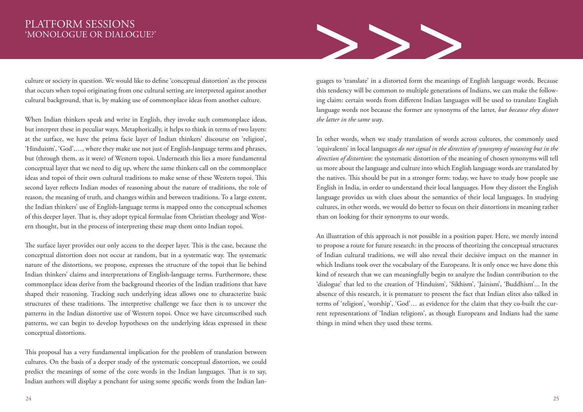### PLATFORM SESSIONS 'MONOLOGUE OR DIALOGUE?'

culture or society in question. We would like to define 'conceptual distortion' as the process that occurs when topoi originating from one cultural setting are interpreted against another cultural background, that is, by making use of commonplace ideas from another culture.

When Indian thinkers speak and write in English, they invoke such commonplace ideas, but interpret these in peculiar ways. Metaphorically, it helps to think in terms of two layers: at the surface, we have the prima facie layer of Indian thinkers' discourse on 'religion', 'Hinduism', 'God',…, where they make use not just of English-language terms and phrases, but (through them, as it were) of Western topoi. Underneath this lies a more fundamental conceptual layer that we need to dig up, where the same thinkers call on the commonplace ideas and topoi of their own cultural traditions to make sense of these Western topoi. This second layer reflects Indian modes of reasoning about the nature of traditions, the role of reason, the meaning of truth, and changes within and between traditions. To a large extent, the Indian thinkers' use of English-language terms is mapped onto the conceptual schemes of this deeper layer. That is, they adopt typical formulae from Christian theology and Western thought, but in the process of interpreting these map them onto Indian topoi.

The surface layer provides our only access to the deeper layer. This is the case, because the conceptual distortion does not occur at random, but in a systematic way. The systematic nature of the distortions, we propose, expresses the structure of the topoi that lie behind Indian thinkers' claims and interpretations of English-language terms. Furthermore, these commonplace ideas derive from the background theories of the Indian traditions that have shaped their reasoning. Tracking such underlying ideas allows one to characterize basic structures of these traditions. The interpretive challenge we face then is to uncover the patterns in the Indian distortive use of Western topoi. Once we have circumscribed such patterns, we can begin to develop hypotheses on the underlying ideas expressed in these conceptual distortions.

This proposal has a very fundamental implication for the problem of translation between cultures. On the basis of a deeper study of the systematic conceptual distortion, we could predict the meanings of some of the core words in the Indian languages. That is to say, Indian authors will display a penchant for using some specific words from the Indian lan-



guages to 'translate' in a distorted form the meanings of English language words. Because this tendency will be common to multiple generations of Indians, we can make the following claim: certain words from different Indian languages will be used to translate English language words not because the former are synonyms of the latter, *but because they distort the latter in the same way*.

In other words, when we study translation of words across cultures, the commonly used 'equivalents' in local languages *do not signal in the direction of synonymy of meaning but in the direction of distortion*: the systematic distortion of the meaning of chosen synonyms will tell us more about the language and culture into which English language words are translated by the natives. This should be put in a stronger form: today, we have to study how people use English in India, in order to understand their local languages. How they distort the English language provides us with clues about the semantics of their local languages. In studying cultures, in other words, we would do better to focus on their distortions in meaning rather than on looking for their synonyms to our words.

An illustration of this approach is not possible in a position paper. Here, we merely intend to propose a route for future research: in the process of theorizing the conceptual structures of Indian cultural traditions, we will also reveal their decisive impact on the manner in which Indians took over the vocabulary of the Europeans. It is only once we have done this kind of research that we can meaningfully begin to analyze the Indian contribution to the 'dialogue' that led to the creation of 'Hinduism', 'Sikhism', 'Jainism', 'Buddhism'... In the absence of this research, it is premature to present the fact that Indian elites also talked in terms of 'religion', 'worship', 'God'… as evidence for the claim that they co-built the current representations of 'Indian religions', as though Europeans and Indians had the same things in mind when they used these terms.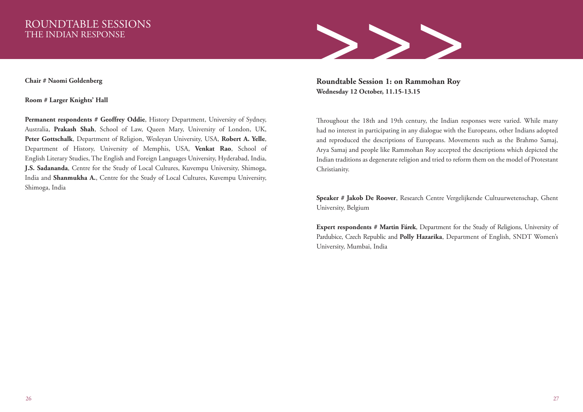### ROUNDTABLE SESSIONS THE INDIAN RESPONSE

**Chair # Naomi Goldenberg**

**Room # Larger Knights' Hall**

Permanent respondents # Geoffrey Oddie, History Department, University of Sydney, Australia, **Prakash Shah**, School of Law, Queen Mary, University of London, UK, **Peter Gottschalk**, Department of Religion, Wesleyan University, USA, **Robert A. Yelle**, Department of History, University of Memphis, USA, **Venkat Rao**, School of English Literary Studies, The English and Foreign Languages University, Hyderabad, India, **J.S. Sadananda**, Centre for the Study of Local Cultures, Kuvempu University, Shimoga, India and **Shanmukha A.**, Centre for the Study of Local Cultures, Kuvempu University, Shimoga, India



**Roundtable Session 1: on Rammohan Roy Wednesday 12 October, 11.15-13.15**

Throughout the 18th and 19th century, the Indian responses were varied. While many had no interest in participating in any dialogue with the Europeans, other Indians adopted and reproduced the descriptions of Europeans. Movements such as the Brahmo Samaj, Arya Samaj and people like Rammohan Roy accepted the descriptions which depicted the Indian traditions as degenerate religion and tried to reform them on the model of Protestant Christianity.

**Speaker # Jakob De Roover**, Research Centre Vergelijkende Cultuurwetenschap, Ghent University, Belgium

**Expert respondents # Martin Fárek**, Department for the Study of Religions, University of Pardubice, Czech Republic and **Polly Hazarika**, Department of English, SNDT Women's University, Mumbai, India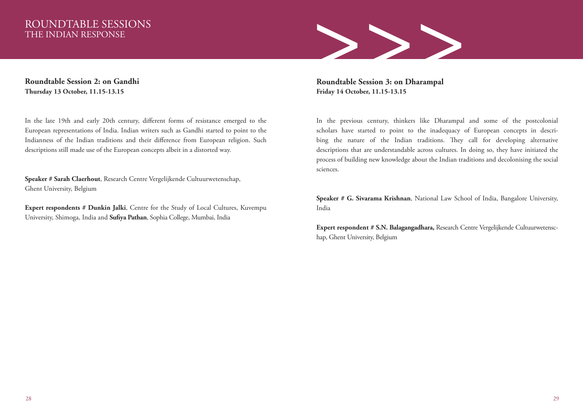# THE INDIAN RESPONSE

ROUNDTABLE SESSIONS<br>
THE INDIAN RESPONSE<br>
Roundtable Session 2: on Gandhi<br>
Thursday 13 October, 11.15-13.15<br>
Friday 14 October, 11.15-13.15<br>
Friday 14 October, 11.15-13.15

**Roundtable Session 2: on Gandhi Thursday 13 October, 11.15-13.15**

In the late 19th and early 20th century, different forms of resistance emerged to the European representations of India. Indian writers such as Gandhi started to point to the Indianness of the Indian traditions and their difference from European religion. Such descriptions still made use of the European concepts albeit in a distorted way.

**Speaker # Sarah Claerhout**, Research Centre Vergelijkende Cultuurwetenschap, Ghent University, Belgium

**Expert respondents # Dunkin Jalki**, Centre for the Study of Local Cultures, Kuvempu University, Shimoga, India and **Sufiya Pathan**, Sophia College, Mumbai, India

**Roundtable Session 3: on Dharampal Friday 14 October, 11.15-13.15**

In the previous century, thinkers like Dharampal and some of the postcolonial scholars have started to point to the inadequacy of European concepts in describing the nature of the Indian traditions. They call for developing alternative descriptions that are understandable across cultures. In doing so, they have initiated the process of building new knowledge about the Indian traditions and decolonising the social sciences.

**Speaker # G. Sivarama Krishnan**, National Law School of India, Bangalore University, India

**Expert respondent # S.N. Balagangadhara,** Research Centre Vergelijkende Cultuurwetenschap, Ghent University, Belgium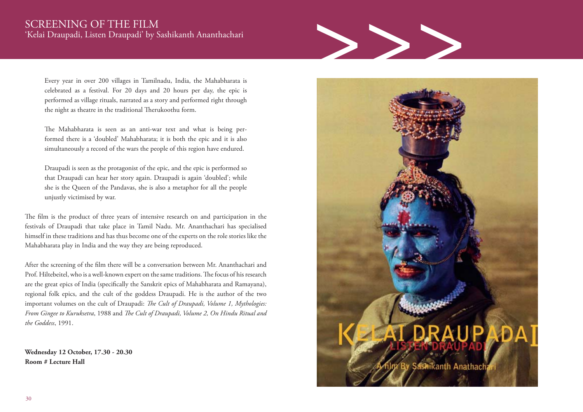# 'Kelai Draupadi, Listen Draupadi' by Sashikanth Ananthachari

Every year in over 200 villages in Tamilnadu, India, the Mahabharata is celebrated as a festival. For 20 days and 20 hours per day, the epic is performed as village rituals, narrated as a story and performed right through the night as theatre in the traditional Therukoothu form.

The Mahabharata is seen as an anti-war text and what is being performed there is a 'doubled' Mahabharata; it is both the epic and it is also simultaneously a record of the wars the people of this region have endured.

Draupadi is seen as the protagonist of the epic, and the epic is performed so that Draupadi can hear her story again. Draupadi is again 'doubled'; while she is the Queen of the Pandavas, she is also a metaphor for all the people unjustly victimised by war.

The film is the product of three years of intensive research on and participation in the festivals of Draupadi that take place in Tamil Nadu. Mr. Ananthachari has specialised himself in these traditions and has thus become one of the experts on the role stories like the Mahabharata play in India and the way they are being reproduced.

After the screening of the film there will be a conversation between Mr. Ananthachari and Prof. Hiltebeitel, who is a well-known expert on the same traditions. The focus of his research are the great epics of India (specifically the Sanskrit epics of Mahabharata and Ramayana), regional folk epics, and the cult of the goddess Draupadi. He is the author of the two important volumes on the cult of Draupadi: *The Cult of Draupadi, Volume 1, Mythologies: From Gingee to Kuruksetra*, 1988 and *The Cult of Draupadi, Volume 2, On Hindu Ritual and the Goddess*, 1991.

**Wednesday 12 October, 17.30 - 20.30 Room # Lecture Hall**

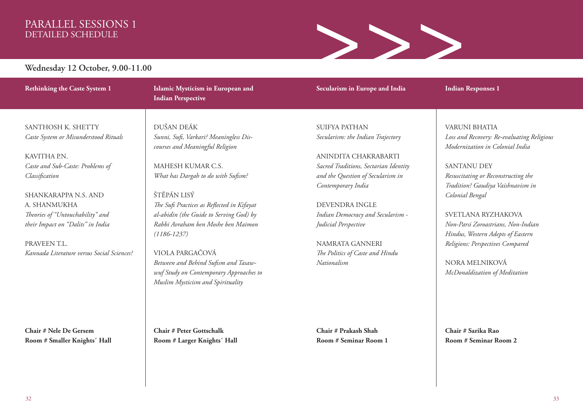### PARALLEL SESSIONS 1 DETAILED SCHEDULE



**Wednesday 12 October, 9.00-11.00**

### **Rethinking the Caste System 1**

SANTHOSH K. SHETTY *Caste System or Misunderstood Rituals*

KAVITHA P.N. *Caste and Sub-Caste: Problems of Classification*

SHANKARAPPA N.S. AND A. SHANMUKHA *Theories of "Untouchability" and their Impact on "Dalits" in India*

PRAVEEN TI. *Kannada Literature versus Social Sciences?* 

**Chair # Nele De Gersem Room # Smaller Knights´ Hall** **Islamic Mysticism in European and Indian Perspective** 

DUŠAN DEÁK *Sunni, Sufi, Varkari? Meaningless Discourses and Meaningful Religion*

MAHESH KUMAR C.S. *What has Dargah to do with Sufism?* 

ŠTĚPÁN LISÝ *The Sufi Practices as Reflected in Kifayat al-abidin (the Guide to Serving God) by Rabbi Avraham ben Moshe ben Maimon (1186-1237)*

VIOLA PARGAČOVÁ *Between and Behind Sufism and Tasawwuf Study on Contemporary Approaches to Muslim Mysticism and Spirituality*

**Chair # Peter Gottschalk Room # Larger Knights´ Hall** SUIFYA PATHAN *Secularism: the Indian Trajectory*

**Secularism in Europe and India** 

ANINDITA CHAKRABARTI *Sacred Traditions, Sectarian Identity and the Question of Secularism in Contemporary India*

DEVENDRA INGLE *Indian Democracy and Secularism - Judicial Perspective*

NAMRATA GANNERI *The Politics of Caste and Hindu Nationalism*

**Chair # Prakash Shah Room # Seminar Room 1** **Indian Responses 1** 

VARUNI BHATIA *Loss and Recovery: Re-evaluating Religious Modernization in Colonial India*

SANTANU DEY *Resuscitating or Reconstructing the Tradition? Gaudiya Vaishnavism in Colonial Bengal*

SVETLANA RYZHAKOVA *Non-Parsi Zoroastrians, Non-Indian Hindus, Western Adepts of Eastern Religions: Perspectives Compared* 

NORA MELNIKOVÁ *McDonaldization of Meditation*

**Chair # Sarika Rao Room # Seminar Room 2**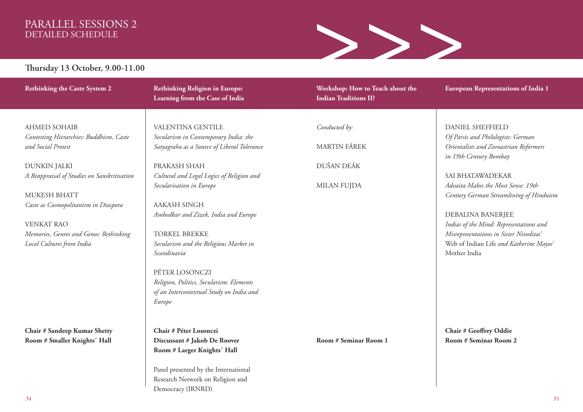### PARALLEL SESSIONS 2 DETAILED SCHEDULE



### **Thursday 13 October, 9.00-11.00**

| <b>Rethinking the Caste System 2</b>                                | <b>Rethinking Religion in Europe:</b><br>Learning from the Case of India             | Workshop: How to Teach about the<br><b>Indian Traditions II?</b> | <b>European Representations of India 1</b>                                                             |
|---------------------------------------------------------------------|--------------------------------------------------------------------------------------|------------------------------------------------------------------|--------------------------------------------------------------------------------------------------------|
| <b>AHMED SOHAIB</b>                                                 | VALENTINA GENTILE                                                                    | Conducted by:                                                    | <b>DANIEL SHEFFIELD</b>                                                                                |
| Contesting Hierarchies: Buddhism, Caste<br>and Social Protest       | Secularism in Contemporary India: the<br>Satyagraha as a Source of Liberal Tolerance | <b>MARTIN FÁREK</b>                                              | Of Parsis and Philologists: German<br>Orientalists and Zoroastrian Reformers<br>in 19th Century Bombay |
| <b>DUNKIN JALKI</b><br>A Reappraisal of Studies on Sanskritisation  | PRAKASH SHAH<br>Cultural and Legal Logics of Religion and                            | DUŠAN DEÁK                                                       | SAI BHATAWADEKAR                                                                                       |
| MUKESH BHATT                                                        | Secularisation in Europe                                                             | <b>MILAN FUJDA</b>                                               | Advaita Makes the Most Sense: 19th<br>Century German Streamlining of Hinduism                          |
| Caste as Cosmopolitanism in Diaspora<br><b>VENKAT RAO</b>           | <b>AAKASH SINGH</b><br>Ambedkar and Zizek, India and Europe                          |                                                                  | DEBALINA BANERJEE<br>Indias of the Mind: Representations and                                           |
| Memories, Genres and Genos: Rethinking<br>Local Cultures from India | <b>TORKEL BREKKE</b><br>Secularism and the Religious Market in                       |                                                                  | Misrepresentations in Sister Niveditas'<br>Web of Indian Life and Katherine Mayos'                     |
|                                                                     | Scandinavia                                                                          |                                                                  | Mother India                                                                                           |
|                                                                     | PÉTER LOSONCZI<br>Religion, Politics, Secularism: Elements                           |                                                                  |                                                                                                        |
|                                                                     | of an Intercontextual Study on India and<br>Europe                                   |                                                                  |                                                                                                        |
| Chair # Sandeep Kumar Shetty                                        | Chair # Péter Losonczi                                                               |                                                                  | <b>Chair # Geoffrey Oddie</b>                                                                          |
| Room # Smaller Knights' Hall                                        | Discussant # Jakob De Roover<br>Room # Larger Knights' Hall                          | Room # Seminar Room 1                                            | Room # Seminar Room 2                                                                                  |
|                                                                     | Panel presented by the International<br>Research Network on Religion and             |                                                                  |                                                                                                        |

Democracy (IRNRD)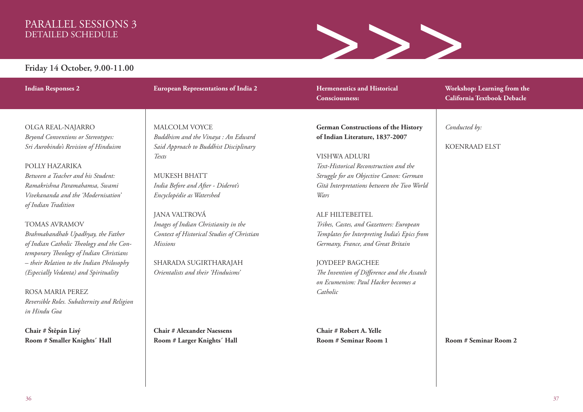### PARALLEL SESSIONS 3 DETAILED SCHEDULE



### **Friday 14 October, 9.00-11.00**

**Indian Responses 2** 

**European Representations of India 2** 

### OLGA REAL-NAJARRO *Beyond Conventions or Stereotypes: Sri Aurobindo's Revision of Hinduism*

### POLLY HAZARIKA

*Between a Teacher and his Student: Ramakrishna Paramahamsa, Swami Vivekananda and the 'Modernisation' of Indian Tradition*

### TOMAS AVRAMOV *Brahmabandhab Upadhyay, the Father of Indian Catholic Theology and the Contemporary Theology of Indian Christians – their Relation to the Indian Philosophy (Especially Vedanta) and Spirituality*

ROSA MARIA PEREZ *Reversible Roles. Subalternity and Religion in Hindu Goa*

**Chair # Štěpán Lisý Room # Smaller Knights´ Hall**

### MALCOLM VOYCE

*Buddhism and the Vinaya : An Edward Said Approach to Buddhist Disciplinary Texts*

MUKESH BHATT *India Before and After - Diderot's Encyclopédie as Watershed*

JANA VALTROVÁ *Images of Indian Christianity in the Context of Historical Studies of Christian Missions*

SHARADA SUGIRTHARAJAH *Orientalists and their 'Hinduisms'*

**Chair # Alexander Naessens Room # Larger Knights´ Hall** **German Constructions of the History of Indian Literature, 1837-2007** 

**Hermeneutics and Historical** 

**Consciousness:** 

### VISHWA ADLURI *Text-Historical Reconstruction and the Struggle for an Objective Canon: German Gītā Interpretations between the Two World Wars*

ALF HILTEBEITEL *Tribes, Castes, and Gazetteers: European Templates for Interpreting India's Epics from Germany, France, and Great Britain*

JOYDEEP BAGCHEE *The Invention of Difference and the Assault on Ecumenism: Paul Hacker becomes a Catholic*

**Chair # Robert A. Yelle Room # Seminar Room 1** **Workshop: Learning from the California Textbook Debacle** 

*Conducted by:* 

KOENRAAD ELST

**Room # Seminar Room 2**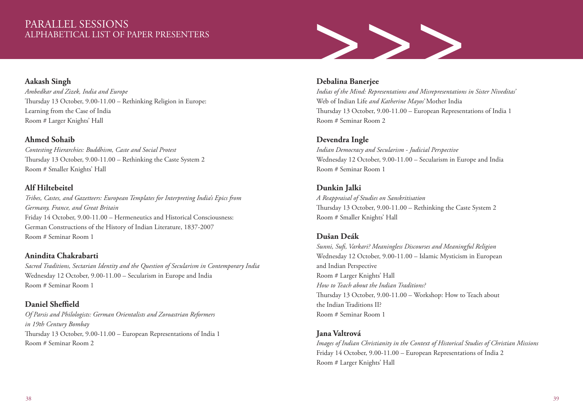### PARALLEL SESSIONS ALPHABETICAL LIST OF PAPER PRESENTERS

### **Aakash Singh**

*Ambedkar and Zizek, India and Europe* Thursday 13 October, 9.00-11.00 – Rethinking Religion in Europe: Learning from the Case of India Room # Larger Knights' Hall

### **Ahmed Sohaib**

*Contesting Hierarchies: Buddhism, Caste and Social Protest* Thursday 13 October, 9.00-11.00 – Rethinking the Caste System 2 Room # Smaller Knights' Hall

### **Alf Hiltebeitel**

*Tribes, Castes, and Gazetteers: European Templates for Interpreting India's Epics from Germany, France, and Great Britain* Friday 14 October, 9.00-11.00 – Hermeneutics and Historical Consciousness: German Constructions of the History of Indian Literature, 1837-2007 Room # Seminar Room 1

### **Anindita Chakrabarti**

*Sacred Traditions, Sectarian Identity and the Question of Secularism in Contemporary India* Wednesday 12 October, 9.00-11.00 – Secularism in Europe and India Room # Seminar Room 1

### **Daniel Sheffield**

*Of Parsis and Philologists: German Orientalists and Zoroastrian Reformers in 19th Century Bombay* Thursday 13 October, 9.00-11.00 – European Representations of India 1 Room # Seminar Room 2



### **Debalina Banerjee**

*Indias of the Mind: Representations and Misrepresentations in Sister Niveditas'*  Web of Indian Life *and Katherine Mayos'* Mother India Thursday 13 October, 9.00-11.00 – European Representations of India 1 Room # Seminar Room 2

### **Devendra Ingle**

*Indian Democracy and Secularism - Judicial Perspective* Wednesday 12 October, 9.00-11.00 – Secularism in Europe and India Room # Seminar Room 1

### **Dunkin Jalki**

*A Reappraisal of Studies on Sanskritisation* Thursday 13 October, 9.00-11.00 – Rethinking the Caste System 2 Room # Smaller Knights' Hall

### **Dušan Deák**

*Sunni, Sufi, Varkari? Meaningless Discourses and Meaningful Religion* Wednesday 12 October, 9.00-11.00 – Islamic Mysticism in European and Indian Perspective Room # Larger Knights' Hall *How to Teach about the Indian Traditions?*  Thursday 13 October, 9.00-11.00 – Workshop: How to Teach about the Indian Traditions II? Room # Seminar Room 1

### **Jana Valtrová**

*Images of Indian Christianity in the Context of Historical Studies of Christian Missions* Friday 14 October, 9.00-11.00 – European Representations of India 2 Room # Larger Knights' Hall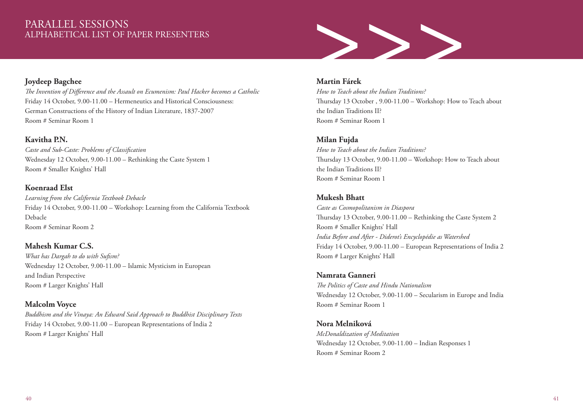# PARALLEL SESSIONS<br>ALPHABETICAL LIST OF PAPER PRESENTERS

# PARALLEL SESSIONS<br>ALPHABETICAL LIST OF PAPER PRESENTERS<br>The Invention of Difference and the Assault on Ecumenism: Paul Hacker becomes a Catholic How to Teach about the Indian Traditions?

### **Joydeep Bagchee**

*The Invention of Difference and the Assault on Ecumenism: Paul Hacker becomes a Catholic* Friday 14 October, 9.00-11.00 – Hermeneutics and Historical Consciousness: German Constructions of the History of Indian Literature, 1837-2007 Room # Seminar Room 1

### **Kavitha P.N.**

*Caste and Sub-Caste: Problems of Classification* Wednesday 12 October, 9.00-11.00 – Rethinking the Caste System 1 Room # Smaller Knights' Hall

### **Koenraad Elst**

*Learning from the California Textbook Debacle* Friday 14 October, 9.00-11.00 – Workshop: Learning from the California Textbook Debacle Room # Seminar Room 2

### **Mahesh Kumar C.S.**

*What has Dargah to do with Sufism?* Wednesday 12 October, 9.00-11.00 – Islamic Mysticism in European and Indian Perspective Room # Larger Knights' Hall

### **Malcolm Voyce**

*Buddhism and the Vinaya: An Edward Said Approach to Buddhist Disciplinary Texts* Friday 14 October, 9.00-11.00 – European Representations of India 2 Room # Larger Knights' Hall

### **Martin Fárek**

*How to Teach about the Indian Traditions?*  Thursday 13 October , 9.00-11.00 – Workshop: How to Teach about the Indian Traditions II? Room # Seminar Room 1

### **Milan Fujda**

*How to Teach about the Indian Traditions?*  Thursday 13 October, 9.00-11.00 – Workshop: How to Teach about the Indian Traditions II? Room # Seminar Room 1

### **Mukesh Bhatt**

*Caste as Cosmopolitanism in Diaspora* Thursday 13 October, 9.00-11.00 – Rethinking the Caste System 2 Room # Smaller Knights' Hall *India Before and After - Diderot's Encyclopédie as Watershed* Friday 14 October, 9.00-11.00 – European Representations of India 2 Room # Larger Knights' Hall

**Namrata Ganneri** *The Politics of Caste and Hindu Nationalism* Wednesday 12 October, 9.00-11.00 – Secularism in Europe and India Room # Seminar Room 1

**Nora Melniková** *McDonaldization of Meditation* Wednesday 12 October, 9.00-11.00 – Indian Responses 1 Room # Seminar Room 2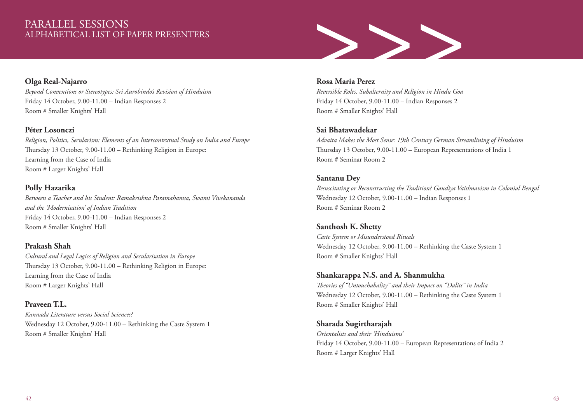### PARALLEL SESSIONS ALPHABETICAL LIST OF PAPER PRESENTERS

# >>>

### **Olga Real-Najarro**

*Beyond Conventions or Stereotypes: Sri Aurobindo's Revision of Hinduism* Friday 14 October, 9.00-11.00 – Indian Responses 2 Room # Smaller Knights' Hall

### **Péter Losonczi**

*Religion, Politics, Secularism: Elements of an Intercontextual Study on India and Europe* Thursday 13 October, 9.00-11.00 – Rethinking Religion in Europe: Learning from the Case of India Room # Larger Knights' Hall

### **Polly Hazarika**

*Between a Teacher and his Student: Ramakrishna Paramahamsa, Swami Vivekananda and the 'Modernisation' of Indian Tradition*  Friday 14 October, 9.00-11.00 – Indian Responses 2 Room # Smaller Knights' Hall

### **Prakash Shah**

*Cultural and Legal Logics of Religion and Secularisation in Europe* Thursday 13 October, 9.00-11.00 – Rethinking Religion in Europe: Learning from the Case of India Room # Larger Knights' Hall

**Praveen T.L.** *Kannada Literature versus Social Sciences?* Wednesday 12 October, 9.00-11.00 – Rethinking the Caste System 1 Room # Smaller Knights' Hall

### **Rosa Maria Perez**

*Reversible Roles. Subalternity and Religion in Hindu Goa*  Friday 14 October, 9.00-11.00 – Indian Responses 2 Room # Smaller Knights' Hall

### **Sai Bhatawadekar**

*Advaita Makes the Most Sense: 19th Century German Streamlining of Hinduism*  Thursday 13 October, 9.00-11.00 – European Representations of India 1 Room # Seminar Room 2

### **Santanu Dey**

*Resuscitating or Reconstructing the Tradition? Gaudiya Vaishnavism in Colonial Bengal* Wednesday 12 October, 9.00-11.00 – Indian Responses 1 Room # Seminar Room 2

### **Santhosh K. Shetty**

*Caste System or Misunderstood Rituals* Wednesday 12 October, 9.00-11.00 – Rethinking the Caste System 1 Room # Smaller Knights' Hall

### **Shankarappa N.S. and A. Shanmukha**

*Theories of "Untouchabality" and their Impact on "Dalits" in India* Wednesday 12 October, 9.00-11.00 – Rethinking the Caste System 1 Room # Smaller Knights' Hall

**Sharada Sugirtharajah** *Orientalists and their 'Hinduisms'* Friday 14 October, 9.00-11.00 – European Representations of India 2 Room # Larger Knights' Hall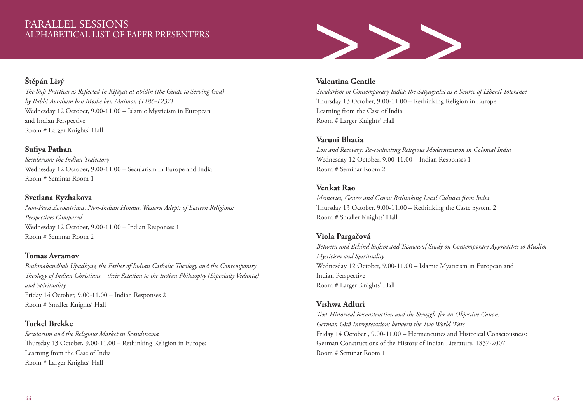### PARALLEL SESSIONS ALPHABETICAL LIST OF PAPER PRESENTERS

### **Štěpán Lisý**

*The Sufi Practices as Reflected in Kifayat al-abidin (the Guide to Serving God) by Rabbi Avraham ben Moshe ben Maimon (1186-1237)* Wednesday 12 October, 9.00-11.00 – Islamic Mysticism in European and Indian Perspective Room # Larger Knights' Hall

### **Sufiya Pathan**

*Secularism: the Indian Trajectory* Wednesday 12 October, 9.00-11.00 – Secularism in Europe and India Room # Seminar Room 1

### **Svetlana Ryzhakova**

*Non-Parsi Zoroastrians, Non-Indian Hindus, Western Adepts of Eastern Religions: Perspectives Compared*  Wednesday 12 October, 9.00-11.00 – Indian Responses 1 Room # Seminar Room 2

### **Tomas Avramov**

*Brahmabandhab Upadhyay, the Father of Indian Catholic Theology and the Contemporary Theology of Indian Christians – their Relation to the Indian Philosophy (Especially Vedanta) and Spirituality* Friday 14 October, 9.00-11.00 – Indian Responses 2 Room # Smaller Knights' Hall

### **Torkel Brekke**

*Secularism and the Religious Market in Scandinavia* Thursday 13 October, 9.00-11.00 – Rethinking Religion in Europe: Learning from the Case of India Room # Larger Knights' Hall



### **Valentina Gentile**

*Secularism in Contemporary India: the Satyagraha as a Source of Liberal Tolerance* Thursday 13 October, 9.00-11.00 – Rethinking Religion in Europe: Learning from the Case of India Room # Larger Knights' Hall

### **Varuni Bhatia**

*Loss and Recovery: Re-evaluating Religious Modernization in Colonial India*  Wednesday 12 October, 9.00-11.00 – Indian Responses 1 Room # Seminar Room 2

### **Venkat Rao**

*Memories, Genres and Genos: Rethinking Local Cultures from India* Thursday 13 October, 9.00-11.00 – Rethinking the Caste System 2 Room # Smaller Knights' Hall

### **Viola Pargačová**

*Between and Behind Sufism and Tasawwuf Study on Contemporary Approaches to Muslim Mysticism and Spirituality*  Wednesday 12 October, 9.00-11.00 – Islamic Mysticism in European and Indian Perspective Room # Larger Knights' Hall

### **Vishwa Adluri**

*Text-Historical Reconstruction and the Struggle for an Objective Canon: German Gītā Interpretations between the Two World Wars* Friday 14 October , 9.00-11.00 – Hermeneutics and Historical Consciousness: German Constructions of the History of Indian Literature, 1837-2007 Room # Seminar Room 1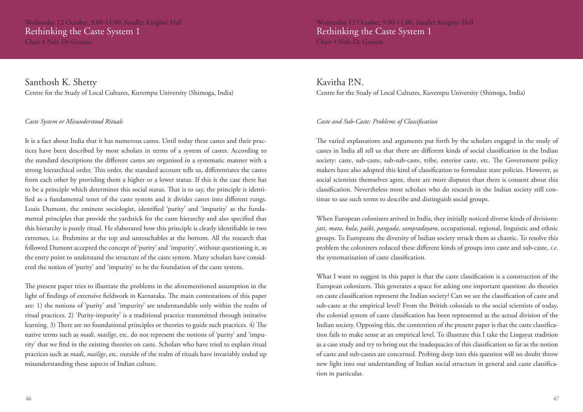Wednesday 12 October, 9.00-11.00, Smaller Knights' Hall Rethinking the Caste System 1 Chair # Nele De Gersem

Santhosh K. Shetty Centre for the Study of Local Cultures, Kuvempu University (Shimoga, India)

### *Caste System or Misunderstood Rituals*

It is a fact about India that it has numerous castes. Until today these castes and their practices have been described by most scholars in terms of a system of castes. According to the standard descriptions the different castes are organised in a systematic manner with a strong hierarchical order. This order, the standard account tells us, differentiates the castes from each other by providing them a higher or a lower status. If this is the case there has to be a principle which determines this social status. That is to say, the principle is identified as a fundamental tenet of the caste system and it divides castes into different rungs. Louis Dumont, the eminent sociologist, identified 'purity' and 'impurity' as the fundamental principles that provide the yardstick for the caste hierarchy and also specified that this hierarchy is purely ritual. He elaborated how this principle is clearly identifiable in two extremes, i.e. Brahmins at the top and untouchables at the bottom. All the research that followed Dumont accepted the concept of 'purity' and 'impurity', without questioning it, as the entry point to understand the structure of the caste system. Many scholars have considered the notion of 'purity' and 'impurity' to be the foundation of the caste system.

The present paper tries to illustrate the problems in the aforementioned assumption in the light of findings of extensive fieldwork in Karnataka. The main contestations of this paper are: 1) the notions of 'purity' and 'impurity' are understandable only within the realm of ritual practices. 2) 'Purity-impurity' is a traditional practice transmitted through imitative learning. 3) There are no foundational principles or theories to guide such practices. 4) The native terms such as *madi*, *mailige*, etc. do not represent the notions of 'purity' and 'impurity' that we find in the existing theories on caste. Scholars who have tried to explain ritual practices such as *madi*, *mailige*, etc. outside of the realm of rituals have invariably ended up misunderstanding these aspects of Indian culture.

Wednesday 12 October, 9.00-11.00, Smaller Knights' Hall Rethinking the Caste System 1 Chair # Nele De Gersem

Kavitha P.N. Centre for the Study of Local Cultures, Kuvempu University (Shimoga, India)

### *Caste and Sub-Caste: Problems of Classification*

The varied explanations and arguments put forth by the scholars engaged in the study of castes in India all tell us that there are different kinds of social classification in the Indian society: caste, sub-caste, sub-sub-caste, tribe, exterior caste, etc. The Government policy makers have also adopted this kind of classification to formulate state policies. However, as social scientists themselves agree, there are more disputes than there is consent about this classification. Nevertheless most scholars who do research in the Indian society still continue to use such terms to describe and distinguish social groups.

When European colonizers arrived in India, they initially noticed diverse kinds of divisions: *jati*, *mata*, *kula*, *paiki*, *pangada*, *sampradayam*, occupational, regional, linguistic and ethnic groups. To Europeans the diversity of Indian society struck them as chaotic. To resolve this problem the colonizers reduced these different kinds of groups into caste and sub-caste, *i.e.*  the systematization of caste classification.

What I want to suggest in this paper is that the caste classification is a construction of the European colonizers. This generates a space for asking one important question: do theories on caste classification represent the Indian society? Can we see the classification of caste and sub-caste at the empirical level? From the British colonials to the social scientists of today, the colonial system of caste classification has been represented as the actual division of the Indian society. Opposing this, the contention of the present paper is that the caste classification fails to make sense at an empirical level. To illustrate this I take the Lingayat tradition as a case study and try to bring out the inadequacies of this classification so far as the notion of caste and sub-castes are concerned. Probing deep into this question will no doubt throw new light into our understanding of Indian social structure in general and caste classification in particular.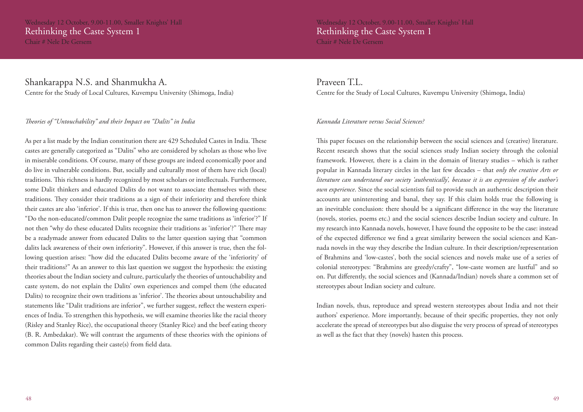Wednesday 12 October, 9.00-11.00, Smaller Knights' Hall Rethinking the Caste System 1 Chair # Nele De Gersem

### Shankarappa N.S. and Shanmukha A. Centre for the Study of Local Cultures, Kuvempu University (Shimoga, India)

### *Theories of "Untouchability" and their Impact on "Dalits" in India*

As per a list made by the Indian constitution there are 429 Scheduled Castes in India. These castes are generally categorized as "Dalits" who are considered by scholars as those who live in miserable conditions. Of course, many of these groups are indeed economically poor and do live in vulnerable conditions. But, socially and culturally most of them have rich (local) traditions. This richness is hardly recognized by most scholars or intellectuals. Furthermore, some Dalit thinkers and educated Dalits do not want to associate themselves with these traditions. They consider their traditions as a sign of their inferiority and therefore think their castes are also 'inferior'. If this is true, then one has to answer the following questions: "Do the non-educated/common Dalit people recognize the same traditions as 'inferior'?" If not then "why do these educated Dalits recognize their traditions as 'inferior'?" There may be a readymade answer from educated Dalits to the latter question saying that "common dalits lack awareness of their own inferiority". However, if this answer is true, then the following question arises: "how did the educated Dalits become aware of the 'inferiority' of their traditions?" As an answer to this last question we suggest the hypothesis: the existing theories about the Indian society and culture, particularly the theories of untouchability and caste system, do not explain the Dalits' own experiences and compel them (the educated Dalits) to recognize their own traditions as 'inferior'. The theories about untouchability and statements like "Dalit traditions are inferior", we further suggest, reflect the western experiences of India. To strengthen this hypothesis, we will examine theories like the racial theory (Risley and Stanley Rice), the occupational theory (Stanley Rice) and the beef eating theory (B. R. Ambedakar). We will contrast the arguments of these theories with the opinions of common Dalits regarding their caste(s) from field data.

Praveen T.L. Centre for the Study of Local Cultures, Kuvempu University (Shimoga, India)

### *Kannada Literature versus Social Sciences?*

This paper focuses on the relationship between the social sciences and (creative) literature. Recent research shows that the social sciences study Indian society through the colonial framework. However, there is a claim in the domain of literary studies – which is rather popular in Kannada literary circles in the last few decades – that *only the creative Arts or literature can understand our society 'authentically', because it is an expression of the author's own experience*. Since the social scientists fail to provide such an authentic description their accounts are uninteresting and banal, they say. If this claim holds true the following is an inevitable conclusion: there should be a significant difference in the way the literature (novels, stories, poems etc.) and the social sciences describe Indian society and culture. In my research into Kannada novels, however, I have found the opposite to be the case: instead of the expected difference we find a great similarity between the social sciences and Kannada novels in the way they describe the Indian culture. In their description/representation of Brahmins and 'low-castes', both the social sciences and novels make use of a series of colonial stereotypes: "Brahmins are greedy/crafty", "low-caste women are lustful" and so on. Put differently, the social sciences and (Kannada/Indian) novels share a common set of stereotypes about Indian society and culture.

Indian novels, thus, reproduce and spread western stereotypes about India and not their authors' experience. More importantly, because of their specific properties, they not only accelerate the spread of stereotypes but also disguise the very process of spread of stereotypes as well as the fact that they (novels) hasten this process.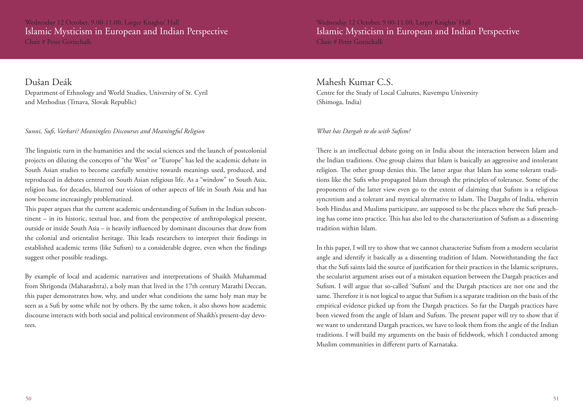Wednesday 12 October, 9.00-11.00, Larger Knights' Hall Islamic Mysticism in European and Indian Perspective Chair # Peter Gottschalk

Dušan Deák Department of Ethnology and World Studies, University of St. Cyril and Methodius (Trnava, Slovak Republic)

### *Sunni, Sufi, Varkari? Meaningless Discourses and Meaningful Religion*

The linguistic turn in the humanities and the social sciences and the launch of postcolonial projects on diluting the concepts of "the West" or "Europe" has led the academic debate in South Asian studies to become carefully sensitive towards meanings used, produced, and reproduced in debates centred on South Asian religious life. As a "window" to South Asia, religion has, for decades, blurred our vision of other aspects of life in South Asia and has now become increasingly problematized.

This paper argues that the current academic understanding of Sufism in the Indian subcontinent – in its historic, textual hue, and from the perspective of anthropological present, outside or inside South Asia – is heavily influenced by dominant discourses that draw from the colonial and orientalist heritage. This leads researchers to interpret their findings in established academic terms (like Sufism) to a considerable degree, even when the findings suggest other possible readings.

By example of local and academic narratives and interpretations of Shaikh Muhammad from Shrigonda (Maharashtra), a holy man that lived in the 17th century Marathi Deccan, this paper demonstrates how, why, and under what conditions the same holy man may be seen as a Sufi by some while not by others. By the same token, it also shows how academic discourse interacts with both social and political environment of Shaikh's present-day devotees.

Wednesday 12 October, 9.00-11.00, Larger Knights' Hall Islamic Mysticism in European and Indian Perspective Chair # Peter Gottschalk

### Mahesh Kumar C.S. Centre for the Study of Local Cultures, Kuvempu University

(Shimoga, India)

### *What has Dargah to do with Sufism?*

There is an intellectual debate going on in India about the interaction between Islam and the Indian traditions. One group claims that Islam is basically an aggressive and intolerant religion. The other group denies this. The latter argue that Islam has some tolerant traditions like the Sufis who propagated Islam through the principles of tolerance. Some of the proponents of the latter view even go to the extent of claiming that Sufism is a religious syncretism and a tolerant and mystical alternative to Islam. The Dargahs of India, wherein both Hindus and Muslims participate, are supposed to be the places where the Sufi preaching has come into practice. This has also led to the characterization of Sufism as a dissenting tradition within Islam.

In this paper, I will try to show that we cannot characterize Sufism from a modern secularist angle and identify it basically as a dissenting tradition of Islam. Notwithstanding the fact that the Sufi saints laid the source of justification for their practices in the Islamic scriptures, the secularist argument arises out of a mistaken equation between the Dargah practices and Sufism. I will argue that so-called 'Sufism' and the Dargah practices are not one and the same. Therefore it is not logical to argue that Sufism is a separate tradition on the basis of the empirical evidence picked up from the Dargah practices. So far the Dargah practices have been viewed from the angle of Islam and Sufism. The present paper will try to show that if we want to understand Dargah practices, we have to look them from the angle of the Indian traditions. I will build my arguments on the basis of fieldwork, which I conducted among Muslim communities in different parts of Karnataka.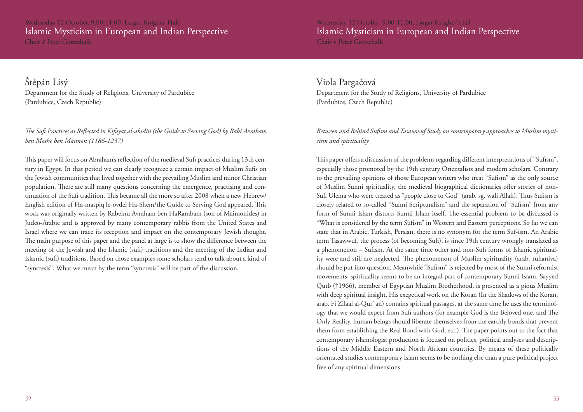### Wednesday 12 October, 9.00-11.00, Larger Knights' Hall Islamic Mysticism in European and Indian Perspective Chair # Peter Gottschalk

Štěpán Lisý Department for the Study of Religions, University of Pardubice (Pardubice, Czech Republic)

*The Sufi Practices as Reflected in Kifayat al-abidin (the Guide to Serving God) by Rabi Avraham ben Moshe ben Maimon (1186-1237)* 

This paper will focus on Abraham's reflection of the medieval Sufi practices during 13th century in Egypt. In that period we can clearly recognize a certain impact of Muslim Sufis on the Jewish communities that lived together with the prevailing Muslim and minor Christian population. There are still many questions concerning the emergence, practising and continuation of the Sufi tradition. This became all the more so after 2008 when a new Hebrew/ English edition of Ha-maspiq le-ovdei Ha-Shem/the Guide to Serving God appeared. This work was originally written by Rabeinu Avraham ben HaRambam (son of Maimonides) in Judeo-Arabic and is approved by many contemporary rabbis from the United States and Israel where we can trace its reception and impact on the contemporary Jewish thought. The main purpose of this paper and the panel at large is to show the difference between the meeting of the Jewish and the Islamic (sufi) traditions and the meeting of the Indian and Islamic (sufi) traditions. Based on those examples some scholars tend to talk about a kind of "syncresis". What we mean by the term "syncresis" will be part of the discussion.

Wednesday 12 October, 9.00-11.00, Larger Knights' Hall Islamic Mysticism in European and Indian Perspective Chair # Peter Gottschalk

Viola Pargačová Department for the Study of Religions, University of Pardubice (Pardubice, Czech Republic)

*Between and Behind Sufism and Tasawwuf Study on contemporary approaches to Muslim mysticism and spirituality* 

This paper offers a discussion of the problems regarding different interpretations of "Sufism", especially those promoted by the 19th century Orientalists and modern scholars. Contrary to the prevailing opinions of those European writers who treat "Sufism" as the only source of Muslim Sunni spirituality, the medieval biographical dictionaries offer stories of non-Sufi Ulema who were treated as "people close to God" (arab. sg. wali Allah). Thus Sufism is closely related to so-called "Sunni Scripturalism" and the separation of "Sufism" from any form of Sunni Islam distorts Sunni Islam itself. The essential problem to be discussed is "What is considered by the term Sufism" in Western and Eastern perceptions. So far we can state that in Arabic, Turkish, Persian, there is no synonym for the term Suf-ism. An Arabic term Tasawwuf, the process (of becoming Sufi), is since 19th century wrongly translated as a phenomenon – Sufism. At the same time other and non-Sufi forms of Islamic spirituality were and still are neglected. The phenomenon of Muslim spirituality (arab. ruhaniya) should be put into question. Meanwhile "Sufism" is rejected by most of the Sunni reformist movements; spirituality seems to be an integral part of contemporary Sunni Islam. Sayyed Qutb (†1966), member of Egyptian Muslim Brotherhood, is presented as a pious Muslim with deep spiritual insight. His exegetical work on the Koran (In the Shadows of the Koran, arab. Fi Zilaal al-Qur' an) contains spiritual passages, at the same time he uses the terminology that we would expect from Sufi authors (for example God is the Beloved one, and The Only Reality, human beings should liberate themselves from the earthly bonds that prevent them from establishing the Real Bond with God, etc.). The paper points out to the fact that contemporary islamologist production is focused on politics, political analyses and descriptions of the Middle Eastern and North African countries. By means of these politically orientated studies contemporary Islam seems to be nothing else than a pure political project free of any spiritual dimensions.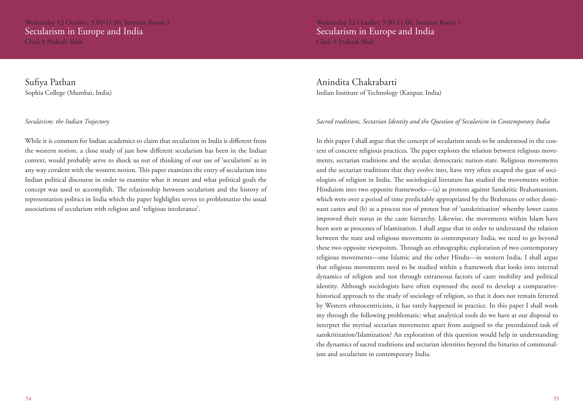Sufiya Pathan Sophia College (Mumbai, India)

### *Secularism: the Indian Trajectory*

While it is common for Indian academics to claim that secularism in India is different from the western notion, a close study of just how different secularism has been in the Indian context, would probably serve to shock us out of thinking of our use of 'secularism' as in any way covalent with the western notion. This paper examines the entry of secularism into Indian political discourse in order to examine what it meant and what political goals the concept was used to accomplish. The relationship between secularism and the history of representation politics in India which the paper highlights serves to problematize the usual associations of secularism with religion and 'religious intolerance'.

Wednesday 12 October, 9.00-11.00, Seminar Room 1 Secularism in Europe and India Chair # Prakash Shah

Anindita Chakrabarti Indian Institute of Technology (Kanpur, India)

### *Sacred traditions, Sectarian Identity and the Question of Secularism in Contemporary India*

In this paper I shall argue that the concept of secularism needs to be understood in the context of concrete religious practices. The paper explores the relation between religious movements, sectarian traditions and the secular, democratic nation-state. Religious movements and the sectarian traditions that they evolve into, have very often escaped the gaze of sociologists of religion in India. The sociological literature has studied the movements within Hinduism into two opposite frameworks—(a) as protests against Sanskritic Brahamanism, which were over a period of time predictably appropriated by the Brahmans or other dominant castes and (b) as a process not of protest but of 'sanskritization' whereby lower castes improved their status in the caste hierarchy. Likewise, the movements within Islam have been seen as processes of Islamization. I shall argue that in order to understand the relation between the state and religious movements in contemporary India, we need to go beyond these two opposite viewpoints. Through an ethnographic exploration of two contemporary religious movements—one Islamic and the other Hindu—in western India, I shall argue that religious movements need to be studied within a framework that looks into internal dynamics of religion and not through extraneous factors of caste mobility and political identity. Although sociologists have often expressed the need to develop a comparativehistorical approach to the study of sociology of religion, so that it does not remain fettered by Western ethnocentricism, it has rarely happened in practice. In this paper I shall work my through the following problematic: what analytical tools do we have at our disposal to interpret the myriad sectarian movements apart from assigned to the preordained task of sanskritization/Islamization? An exploration of this question would help in understanding the dynamics of sacred traditions and sectarian identities beyond the binaries of communalism and secularism in contemporary India.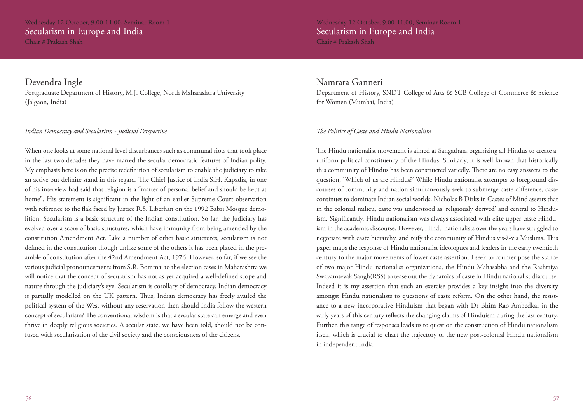Wednesday 12 October, 9.00-11.00, Seminar Room 1 Secularism in Europe and India Chair # Prakash Shah

Devendra Ingle

Postgraduate Department of History, M.J. College, North Maharashtra University (Jalgaon, India)

### *Indian Democracy and Secularism - Judicial Perspective*

When one looks at some national level disturbances such as communal riots that took place in the last two decades they have marred the secular democratic features of Indian polity. My emphasis here is on the precise redefinition of secularism to enable the judiciary to take an active but definite stand in this regard. The Chief Justice of India S.H. Kapadia, in one of his interview had said that religion is a "matter of personal belief and should be kept at home". His statement is significant in the light of an earlier Supreme Court observation with reference to the flak faced by Justice R.S. Liberhan on the 1992 Babri Mosque demolition. Secularism is a basic structure of the Indian constitution. So far, the Judiciary has evolved over a score of basic structures; which have immunity from being amended by the constitution Amendment Act. Like a number of other basic structures, secularism is not defined in the constitution though unlike some of the others it has been placed in the preamble of constitution after the 42nd Amendment Act, 1976. However, so far, if we see the various judicial pronouncements from S.R. Bommai to the election cases in Maharashtra we will notice that the concept of secularism has not as yet acquired a well-defined scope and nature through the judiciary's eye. Secularism is corollary of democracy. Indian democracy is partially modelled on the UK pattern. Thus, Indian democracy has freely availed the political system of the West without any reservation then should India follow the western concept of secularism? The conventional wisdom is that a secular state can emerge and even thrive in deeply religious societies. A secular state, we have been told, should not be confused with secularisation of the civil society and the consciousness of the citizens.

Wednesday 12 October, 9.00-11.00, Seminar Room 1 Secularism in Europe and India Chair # Prakash Shah

### Namrata Ganneri

Department of History, SNDT College of Arts & SCB College of Commerce & Science for Women (Mumbai, India)

### *The Politics of Caste and Hindu Nationalism*

The Hindu nationalist movement is aimed at Sangathan, organizing all Hindus to create a uniform political constituency of the Hindus. Similarly, it is well known that historically this community of Hindus has been constructed variedly. There are no easy answers to the question, 'Which of us are Hindus?' While Hindu nationalist attempts to foreground discourses of community and nation simultaneously seek to submerge caste difference, caste continues to dominate Indian social worlds. Nicholas B Dirks in Castes of Mind asserts that in the colonial milieu, caste was understood as 'religiously derived' and central to Hinduism. Significantly, Hindu nationalism was always associated with elite upper caste Hinduism in the academic discourse. However, Hindu nationalists over the years have struggled to negotiate with caste hierarchy, and reify the community of Hindus vis-à-vis Muslims. This paper maps the response of Hindu nationalist ideologues and leaders in the early twentieth century to the major movements of lower caste assertion. I seek to counter pose the stance of two major Hindu nationalist organizations, the Hindu Mahasabha and the Rashtriya Swayamsevak Sangh(RSS) to tease out the dynamics of caste in Hindu nationalist discourse. Indeed it is my assertion that such an exercise provides a key insight into the diversity amongst Hindu nationalists to questions of caste reform. On the other hand, the resistance to a new incorporative Hinduism that began with Dr Bhim Rao Ambedkar in the early years of this century reflects the changing claims of Hinduism during the last century. Further, this range of responses leads us to question the construction of Hindu nationalism itself, which is crucial to chart the trajectory of the new post-colonial Hindu nationalism in independent India.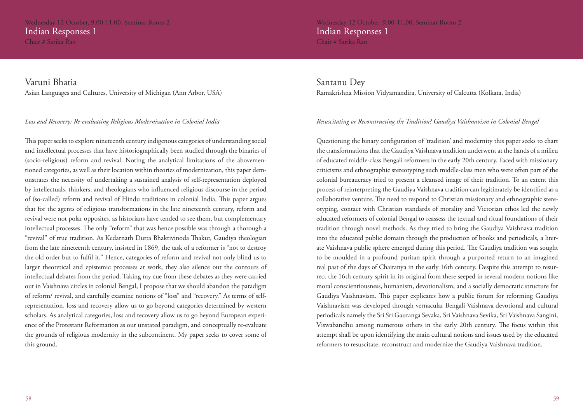Wednesday 12 October, 9.00-11.00, Seminar Room 2 Indian Responses 1

Chair # Sarika Rao

Wednesday 12 October, 9.00-11.00, Seminar Room 2 Indian Responses 1 Chair # Sarika Rao

Varuni Bhatia Asian Languages and Cultures, University of Michigan (Ann Arbor, USA)

### *Loss and Recovery: Re-evaluating Religious Modernization in Colonial India*

This paper seeks to explore nineteenth century indigenous categories of understanding social and intellectual processes that have historiographically been studied through the binaries of (socio-religious) reform and revival. Noting the analytical limitations of the abovementioned categories, as well as their location within theories of modernization, this paper demonstrates the necessity of undertaking a sustained analysis of self-representation deployed by intellectuals, thinkers, and theologians who influenced religious discourse in the period of (so-called) reform and revival of Hindu traditions in colonial India. This paper argues that for the agents of religious transformations in the late nineteenth century, reform and revival were not polar opposites, as historians have tended to see them, but complementary intellectual processes. The only "reform" that was hence possible was through a thorough a "revival" of true tradition. As Kedarnath Dutta Bhaktivinoda Thakur, Gaudiya theologian from the late nineteenth century, insisted in 1869, the task of a reformer is "not to destroy the old order but to fulfil it." Hence, categories of reform and revival not only blind us to larger theoretical and epistemic processes at work, they also silence out the contours of intellectual debates from the period. Taking my cue from these debates as they were carried out in Vaishnava circles in colonial Bengal, I propose that we should abandon the paradigm of reform/ revival, and carefully examine notions of "loss" and "recovery." As terms of selfrepresentation, loss and recovery allow us to go beyond categories determined by western scholars. As analytical categories, loss and recovery allow us to go beyond European experience of the Protestant Reformation as our unstated paradigm, and conceptually re-evaluate the grounds of religious modernity in the subcontinent. My paper seeks to cover some of this ground.

Santanu Dey Ramakrishna Mission Vidyamandira, University of Calcutta (Kolkata, India)

### *Resuscitating or Reconstructing the Tradition? Gaudiya Vaishnavism in Colonial Bengal*

Questioning the binary configuration of 'tradition' and modernity this paper seeks to chart the transformations that the Gaudiya Vaishnava tradition underwent at the hands of a milieu of educated middle-class Bengali reformers in the early 20th century. Faced with missionary criticisms and ethnographic stereotyping such middle-class men who were often part of the colonial bureaucracy tried to present a cleansed image of their tradition. To an extent this process of reinterpreting the Gaudiya Vaishnava tradition can legitimately be identified as a collaborative venture. The need to respond to Christian missionary and ethnographic stereotyping, contact with Christian standards of morality and Victorian ethos led the newly educated reformers of colonial Bengal to reassess the textual and ritual foundations of their tradition through novel methods. As they tried to bring the Gaudiya Vaishnava tradition into the educated public domain through the production of books and periodicals, a literate Vaishnava public sphere emerged during this period. The Gaudiya tradition was sought to be moulded in a profound puritan spirit through a purported return to an imagined real past of the days of Chaitanya in the early 16th century. Despite this attempt to resurrect the 16th century spirit in its original form there seeped in several modern notions like moral conscientiousness, humanism, devotionalism, and a socially democratic structure for Gaudiya Vaishnavism. This paper explicates how a public forum for reforming Gaudiya Vaishnavism was developed through vernacular Bengali Vaishnava devotional and cultural periodicals namely the Sri Sri Gauranga Sevaka, Sri Vaishnava Sevika, Sri Vaishnava Sangini, Viswabandhu among numerous others in the early 20th century. The focus within this attempt shall be upon identifying the main cultural notions and issues used by the educated reformers to resuscitate, reconstruct and modernize the Gaudiya Vaishnava tradition.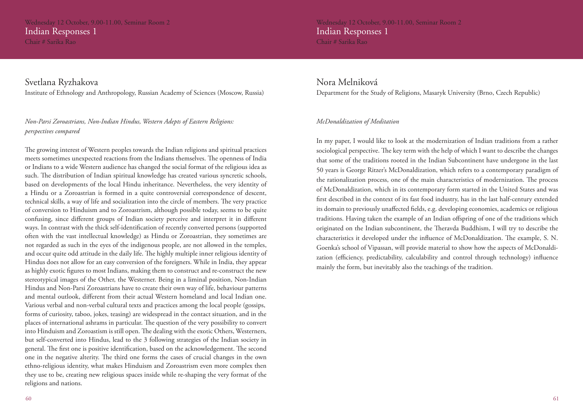Wednesday 12 October, 9.00-11.00, Seminar Room 2 Indian Responses 1

Chair # Sarika Rao

Svetlana Ryzhakova Institute of Ethnology and Anthropology, Russian Academy of Sciences (Moscow, Russia)

### *Non-Parsi Zoroastrians, Non-Indian Hindus, Western Adepts of Eastern Religions: perspectives compared*

The growing interest of Western peoples towards the Indian religions and spiritual practices meets sometimes unexpected reactions from the Indians themselves. The openness of India or Indians to a wide Western audience has changed the social format of the religious idea as such. The distribution of Indian spiritual knowledge has created various syncretic schools, based on developments of the local Hindu inheritance. Nevertheless, the very identity of a Hindu or a Zoroastrian is formed in a quite controversial correspondence of descent, technical skills, a way of life and socialization into the circle of members. The very practice of conversion to Hinduism and to Zoroastrism, although possible today, seems to be quite confusing, since different groups of Indian society perceive and interpret it in different ways. In contrast with the thick self-identification of recently converted persons (supported often with the vast intellectual knowledge) as Hindu or Zoroastrian, they sometimes are not regarded as such in the eyes of the indigenous people, are not allowed in the temples, and occur quite odd attitude in the daily life. The highly multiple inner religious identity of Hindus does not allow for an easy conversion of the foreigners. While in India, they appear as highly exotic figures to most Indians, making them to construct and re-construct the new stereotypical images of the Other, the Westerner. Being in a liminal position, Non-Indian Hindus and Non-Parsi Zoroastrians have to create their own way of life, behaviour patterns and mental outlook, different from their actual Western homeland and local Indian one. Various verbal and non-verbal cultural texts and practices among the local people (gossips, forms of curiosity, taboo, jokes, teasing) are widespread in the contact situation, and in the places of international ashrams in particular. The question of the very possibility to convert into Hinduism and Zoroastism is still open. The dealing with the exotic Others, Westerners, but self-converted into Hindus, lead to the 3 following strategies of the Indian society in general. The first one is positive identification, based on the acknowledgement. The second one in the negative alterity. The third one forms the cases of crucial changes in the own ethno-religious identity, what makes Hinduism and Zoroastrism even more complex then they use to be, creating new religious spaces inside while re-shaping the very format of the religions and nations.

Wednesday 12 October, 9.00-11.00, Seminar Room 2 Indian Responses 1 Chair # Sarika Rao

### Nora Melniková

Department for the Study of Religions, Masaryk University (Brno, Czech Republic)

### *McDonaldization of Meditation*

In my paper, I would like to look at the modernization of Indian traditions from a rather sociological perspective. The key term with the help of which I want to describe the changes that some of the traditions rooted in the Indian Subcontinent have undergone in the last 50 years is George Ritzer's McDonaldization, which refers to a contemporary paradigm of the rationalization process, one of the main characteristics of modernization. The process of McDonaldization, which in its contemporary form started in the United States and was first described in the context of its fast food industry, has in the last half-century extended its domain to previously unaffected fields, e.g. developing economies, academics or religious traditions. Having taken the example of an Indian offspring of one of the traditions which originated on the Indian subcontinent, the Theravda Buddhism, I will try to describe the characteristics it developed under the influence of McDonaldization. The example, S. N. Goenka's school of Vipassan, will provide material to show how the aspects of McDonaldization (efficiency, predictability, calculability and control through technology) influence mainly the form, but inevitably also the teachings of the tradition.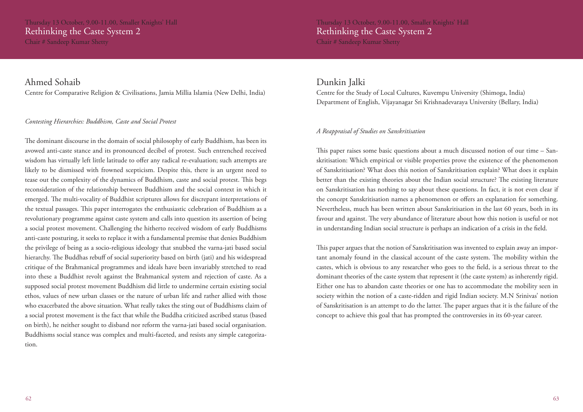Thursday 13 October, 9.00-11.00, Smaller Knights' Hall Rethinking the Caste System 2

Chair # Sandeep Kumar Shetty

### Thursday 13 October, 9.00-11.00, Smaller Knights' Hall Rethinking the Caste System 2 Chair # Sandeep Kumar Shetty

### Ahmed Sohaib

Centre for Comparative Religion & Civilisations, Jamia Millia Islamia (New Delhi, India)

### *Contesting Hierarchies: Buddhism, Caste and Social Protest*

The dominant discourse in the domain of social philosophy of early Buddhism, has been its avowed anti-caste stance and its pronounced decibel of protest. Such entrenched received wisdom has virtually left little latitude to offer any radical re-evaluation; such attempts are likely to be dismissed with frowned scepticism. Despite this, there is an urgent need to tease out the complexity of the dynamics of Buddhism, caste and social protest. This begs reconsideration of the relationship between Buddhism and the social context in which it emerged. The multi-vocality of Buddhist scriptures allows for discrepant interpretations of the textual passages. This paper interrogates the enthusiastic celebration of Buddhism as a revolutionary programme against caste system and calls into question its assertion of being a social protest movement. Challenging the hitherto received wisdom of early Buddhisms anti-caste posturing, it seeks to replace it with a fundamental premise that denies Buddhism the privilege of being as a socio-religious ideology that snubbed the varna-jati based social hierarchy. The Buddhas rebuff of social superiority based on birth (jati) and his widespread critique of the Brahmanical programmes and ideals have been invariably stretched to read into these a Buddhist revolt against the Brahmanical system and rejection of caste. As a supposed social protest movement Buddhism did little to undermine certain existing social ethos, values of new urban classes or the nature of urban life and rather allied with those who exacerbated the above situation. What really takes the sting out of Buddhisms claim of a social protest movement is the fact that while the Buddha criticized ascribed status (based on birth), he neither sought to disband nor reform the varna-jati based social organisation. Buddhisms social stance was complex and multi-faceted, and resists any simple categorization.

### Dunkin Jalki

Centre for the Study of Local Cultures, Kuvempu University (Shimoga, India) Department of English, Vijayanagar Sri Krishnadevaraya University (Bellary, India)

### *A Reappraisal of Studies on Sanskritisation*

This paper raises some basic questions about a much discussed notion of our time – Sanskritisation: Which empirical or visible properties prove the existence of the phenomenon of Sanskritisation? What does this notion of Sanskritisation explain? What does it explain better than the existing theories about the Indian social structure? The existing literature on Sanskritisation has nothing to say about these questions. In fact, it is not even clear if the concept Sanskritisation names a phenomenon or offers an explanation for something. Nevertheless, much has been written about Sanskritisation in the last 60 years, both in its favour and against. The very abundance of literature about how this notion is useful or not in understanding Indian social structure is perhaps an indication of a crisis in the field.

This paper argues that the notion of Sanskritisation was invented to explain away an important anomaly found in the classical account of the caste system. The mobility within the castes, which is obvious to any researcher who goes to the field, is a serious threat to the dominant theories of the caste system that represent it (the caste system) as inherently rigid. Either one has to abandon caste theories or one has to accommodate the mobility seen in society within the notion of a caste-ridden and rigid Indian society. M.N Srinivas' notion of Sanskritisation is an attempt to do the latter. The paper argues that it is the failure of the concept to achieve this goal that has prompted the controversies in its 60-year career.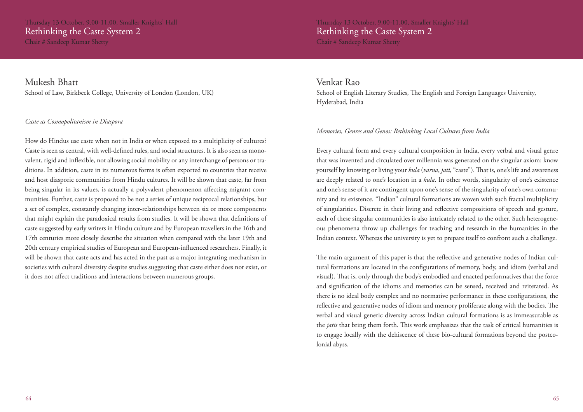Thursday 13 October, 9.00-11.00, Smaller Knights' Hall Rethinking the Caste System 2

Chair # Sandeep Kumar Shetty

Mukesh Bhatt School of Law, Birkbeck College, University of London (London, UK)

### *Caste as Cosmopolitanism in Diaspora*

How do Hindus use caste when not in India or when exposed to a multiplicity of cultures? Caste is seen as central, with well-defined rules, and social structures. It is also seen as monovalent, rigid and inflexible, not allowing social mobility or any interchange of persons or traditions. In addition, caste in its numerous forms is often exported to countries that receive and host diasporic communities from Hindu cultures. It will be shown that caste, far from being singular in its values, is actually a polyvalent phenomenon affecting migrant communities. Further, caste is proposed to be not a series of unique reciprocal relationships, but a set of complex, constantly changing inter-relationships between six or more components that might explain the paradoxical results from studies. It will be shown that definitions of caste suggested by early writers in Hindu culture and by European travellers in the 16th and 17th centuries more closely describe the situation when compared with the later 19th and 20th century empirical studies of European and European-influenced researchers. Finally, it will be shown that caste acts and has acted in the past as a major integrating mechanism in societies with cultural diversity despite studies suggesting that caste either does not exist, or it does not affect traditions and interactions between numerous groups.

Venkat Rao

School of English Literary Studies, The English and Foreign Languages University, Hyderabad, India

### *Memories, Genres and Genos: Rethinking Local Cultures from India*

Every cultural form and every cultural composition in India, every verbal and visual genre that was invented and circulated over millennia was generated on the singular axiom: know yourself by knowing or living your *kula* (*varna*, *jati*, "caste"). That is, one's life and awareness are deeply related to one's location in a *kula*. In other words, singularity of one's existence and one's sense of it are contingent upon one's sense of the singularity of one's own community and its existence. "Indian" cultural formations are woven with such fractal multiplicity of singularities. Discrete in their living and reflective compositions of speech and gesture, each of these singular communities is also intricately related to the other. Such heterogeneous phenomena throw up challenges for teaching and research in the humanities in the Indian context. Whereas the university is yet to prepare itself to confront such a challenge.

The main argument of this paper is that the reflective and generative nodes of Indian cultural formations are located in the configurations of memory, body, and idiom (verbal and visual). That is, only through the body's embodied and enacted performatives that the force and signification of the idioms and memories can be sensed, received and reiterated. As there is no ideal body complex and no normative performance in these configurations, the reflective and generative nodes of idiom and memory proliferate along with the bodies. The verbal and visual generic diversity across Indian cultural formations is as immeasurable as the *jatis* that bring them forth. This work emphasizes that the task of critical humanities is to engage locally with the dehiscence of these bio-cultural formations beyond the postcolonial abyss.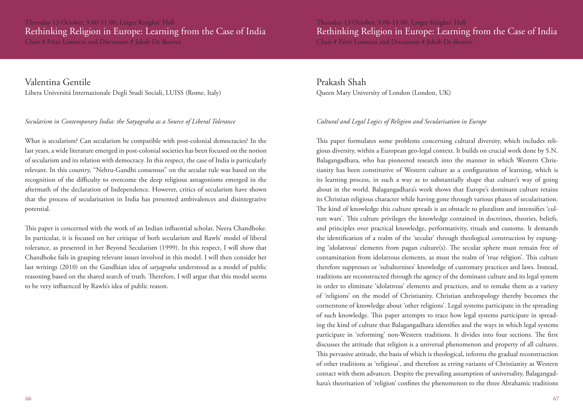Thursday 13 October, 9.00-11.00, Larger Knights' Hall Rethinking Religion in Europe: Learning from the Case of India Chair # Péter Losonczi and Discussant # Jakob De Roover

Valentina Gentile Libera Universitá Internazionale Degli Studi Sociali, LUISS (Rome, Italy)

### *Secularism in Contemporary India: the Satyagraha as a Source of Liberal Tolerance*

What is secularism? Can secularism be compatible with post-colonial democracies? In the last years, a wide literature emerged in post-colonial societies has been focused on the notion of secularism and its relation with democracy. In this respect, the case of India is particularly relevant. In this country, "Nehru-Gandhi consensus" on the secular rule was based on the recognition of the difficulty to overcome the deep religious antagonisms emerged in the aftermath of the declaration of Independence. However, critics of secularism have shown that the process of secularisation in India has presented ambivalences and disintegrative potential.

This paper is concerned with the work of an Indian influential scholar, Neera Chandhoke. In particular, it is focused on her critique of both secularism and Rawls' model of liberal tolerance, as presented in her Beyond Secularism (1999). In this respect, I will show that Chandhoke fails in grasping relevant issues involved in this model. I will then consider her last writings (2010) on the Gandhian idea of *satyagraha* understood as a model of public reasoning based on the shared search of truth. Therefore, I will argue that this model seems to be very influenced by Rawls's idea of public reason.

Prakash Shah Queen Mary University of London (London, UK)

### *Cultural and Legal Logics of Religion and Secularisation in Europe*

This paper formulates some problems concerning cultural diversity, which includes religious diversity, within a European geo-legal context. It builds on crucial work done by S.N. Balagangadhara, who has pioneered research into the manner in which Western Christianity has been constitutive of Western culture as a configuration of learning, which is its learning process, in such a way as to substantially shape that culture's way of going about in the world. Balagangadhara's work shows that Europe's dominant culture retains its Christian religious character while having gone through various phases of secularisation. The kind of knowledge this culture spreads is an obstacle to pluralism and intensifies 'culture wars'. This culture privileges the knowledge contained in doctrines, theories, beliefs, and principles over practical knowledge, performativity, rituals and customs. It demands the identification of a realm of the 'secular' through theological construction by expunging 'idolatrous' elements from pagan culture(s). The secular sphere must remain free of contamination from idolatrous elements, as must the realm of 'true religion'. This culture therefore suppresses or 'subalternises' knowledge of customary practices and laws. Instead, traditions are reconstructed through the agency of the dominant culture and its legal system in order to eliminate 'idolatrous' elements and practices, and to remake them as a variety of 'religions' on the model of Christianity. Christian anthropology thereby becomes the cornerstone of knowledge about 'other religions'. Legal systems participate in the spreading of such knowledge. This paper attempts to trace how legal systems participate in spreading the kind of culture that Balagangadhara identifies and the ways in which legal systems participate in 'reforming' non-Western traditions. It divides into four sections. The first discusses the attitude that religion is a universal phenomenon and property of all cultures. This pervasive attitude, the basis of which is theological, informs the gradual reconstruction of other traditions as 'religious', and therefore as erring variants of Christianity as Western contact with them advances. Despite the prevailing assumption of universality, Balagangadhara's theorisation of 'religion' confines the phenomenon to the three Abrahamic traditions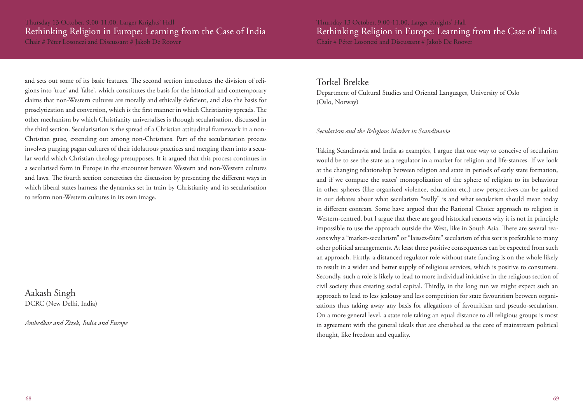### Thursday 13 October, 9.00-11.00, Larger Knights' Hall Rethinking Religion in Europe: Learning from the Case of India

Chair # Péter Losonczi and Discussant # Jakob De Roover

and sets out some of its basic features. The second section introduces the division of religions into 'true' and 'false', which constitutes the basis for the historical and contemporary claims that non-Western cultures are morally and ethically deficient, and also the basis for proselytization and conversion, which is the first manner in which Christianity spreads. The other mechanism by which Christianity universalises is through secularisation, discussed in the third section. Secularisation is the spread of a Christian attitudinal framework in a non-Christian guise, extending out among non-Christians. Part of the secularisation process involves purging pagan cultures of their idolatrous practices and merging them into a secular world which Christian theology presupposes. It is argued that this process continues in a secularised form in Europe in the encounter between Western and non-Western cultures and laws. The fourth section concretises the discussion by presenting the different ways in which liberal states harness the dynamics set in train by Christianity and its secularisation to reform non-Western cultures in its own image.

Aakash Singh DCRC (New Delhi, India)

*Ambedkar and Zizek, India and Europe*

Thursday 13 October, 9.00-11.00, Larger Knights' Hall Rethinking Religion in Europe: Learning from the Case of India Chair # Péter Losonczi and Discussant # Jakob De Roover

### Torkel Brekke

Department of Cultural Studies and Oriental Languages, University of Oslo (Oslo, Norway)

### *Secularism and the Religious Market in Scandinavia*

Taking Scandinavia and India as examples, I argue that one way to conceive of secularism would be to see the state as a regulator in a market for religion and life-stances. If we look at the changing relationship between religion and state in periods of early state formation, and if we compare the states' monopolization of the sphere of religion to its behaviour in other spheres (like organized violence, education etc.) new perspectives can be gained in our debates about what secularism "really" is and what secularism should mean today in different contexts. Some have argued that the Rational Choice approach to religion is Western-centred, but I argue that there are good historical reasons why it is not in principle impossible to use the approach outside the West, like in South Asia. There are several reasons why a "market-secularism" or "laissez-faire" secularism of this sort is preferable to many other political arrangements. At least three positive consequences can be expected from such an approach. Firstly, a distanced regulator role without state funding is on the whole likely to result in a wider and better supply of religious services, which is positive to consumers. Secondly, such a role is likely to lead to more individual initiative in the religious section of civil society thus creating social capital. Thirdly, in the long run we might expect such an approach to lead to less jealousy and less competition for state favouritism between organizations thus taking away any basis for allegations of favouritism and pseudo-secularism. On a more general level, a state role taking an equal distance to all religious groups is most in agreement with the general ideals that are cherished as the core of mainstream political thought, like freedom and equality.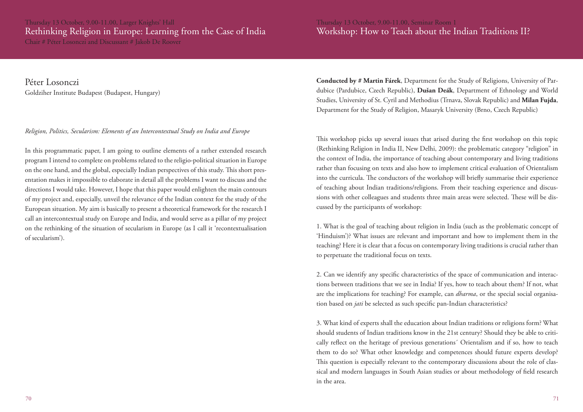Chair # Péter Losonczi and Discussant # Jakob De Roover

### Thursday 13 October, 9.00-11.00, Seminar Room 1 Workshop: How to Teach about the Indian Traditions II?

Péter Losonczi Goldziher Institute Budapest (Budapest, Hungary)

### *Religion, Politics, Secularism: Elements of an Intercontextual Study on India and Europe*

In this programmatic paper, I am going to outline elements of a rather extended research program I intend to complete on problems related to the religio-political situation in Europe on the one hand, and the global, especially Indian perspectives of this study. This short presentation makes it impossible to elaborate in detail all the problems I want to discuss and the directions I would take. However, I hope that this paper would enlighten the main contours of my project and, especially, unveil the relevance of the Indian context for the study of the European situation. My aim is basically to present a theoretical framework for the research I call an intercontextual study on Europe and India, and would serve as a pillar of my project on the rethinking of the situation of secularism in Europe (as I call it 'recontextualisation of secularism').

**Conducted by # Martin Fárek**, Department for the Study of Religions, University of Pardubice (Pardubice, Czech Republic), **Dušan Deák**, Department of Ethnology and World Studies, University of St. Cyril and Methodius (Trnava, Slovak Republic) and **Milan Fujda**, Department for the Study of Religion, Masaryk University (Brno, Czech Republic)

This workshop picks up several issues that arised during the first workshop on this topic (Rethinking Religion in India II, New Delhi, 2009): the problematic category "religion" in the context of India, the importance of teaching about contemporary and living traditions rather than focusing on texts and also how to implement critical evaluation of Orientalism into the curricula. The conductors of the workshop will briefly summarise their experience of teaching about Indian traditions/religions. From their teaching experience and discussions with other colleagues and students three main areas were selected. These will be discussed by the participants of workshop:

1. What is the goal of teaching about religion in India (such as the problematic concept of 'Hinduism')? What issues are relevant and important and how to implement them in the teaching? Here it is clear that a focus on contemporary living traditions is crucial rather than to perpetuate the traditional focus on texts.

2. Can we identify any specific characteristics of the space of communication and interactions between traditions that we see in India? If yes, how to teach about them? If not, what are the implications for teaching? For example, can *dharma*, or the special social organisation based on *jati* be selected as such specific pan-Indian characteristics?

3. What kind of experts shall the education about Indian traditions or religions form? What should students of Indian traditions know in the 21st century? Should they be able to critically reflect on the heritage of previous generations´ Orientalism and if so, how to teach them to do so? What other knowledge and competences should future experts develop? This question is especially relevant to the contemporary discussions about the role of classical and modern languages in South Asian studies or about methodology of field research in the area.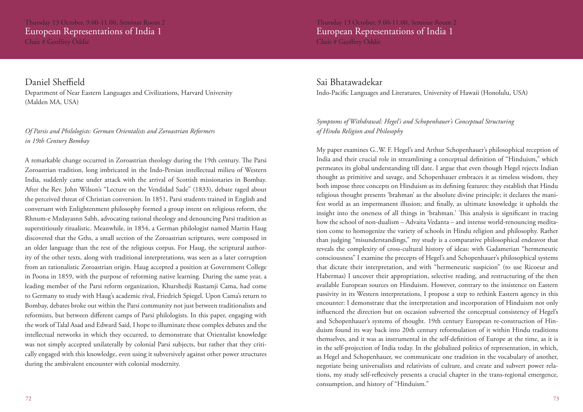### Thursday 13 October, 9.00-11.00, Seminar Room 2 European Representations of India 1 Chair # Geoffrey Oddie

### Daniel Sheffield

Department of Near Eastern Languages and Civilizations, Harvard University (Malden MA, USA)

### *Of Parsis and Philologists: German Orientalists and Zoroastrian Reformers in 19th Century Bombay*

A remarkable change occurred in Zoroastrian theology during the 19th century. The Parsi Zoroastrian tradition, long imbricated in the Indo-Persian intellectual milieu of Western India, suddenly came under attack with the arrival of Scottish missionaries in Bombay. After the Rev. John Wilson's "Lecture on the Vendidad Sade" (1833), debate raged about the perceived threat of Christian conversion. In 1851, Parsi students trained in English and conversant with Enlightenment philosophy formed a group intent on religious reform, the Rhnum-e Mzdayasnn Sabh, advocating rational theology and denouncing Parsi tradition as superstitiously ritualistic. Meanwhile, in 1854, a German philologist named Martin Haug discovered that the Gths, a small section of the Zoroastrian scriptures, were composed in an older language than the rest of the religious corpus. For Haug, the scriptural authority of the other texts, along with traditional interpretations, was seen as a later corruption from an rationalistic Zoroastrian origin. Haug accepted a position at Government College in Poona in 1859, with the purpose of reforming native learning. During the same year, a leading member of the Parsi reform organization, Khurshedji Rustamji Cama, had come to Germany to study with Haug's academic rival, Friedrich Spiegel. Upon Cama's return to Bombay, debates broke out within the Parsi community not just between traditionalists and reformists, but between different camps of Parsi philologists. In this paper, engaging with the work of Talal Asad and Edward Said, I hope to illuminate these complex debates and the intellectual networks in which they occurred, to demonstrate that Orientalist knowledge was not simply accepted unilaterally by colonial Parsi subjects, but rather that they critically engaged with this knowledge, even using it subversively against other power structures during the ambivalent encounter with colonial modernity.

Thursday 13 October, 9.00-11.00, Seminar Room 2 European Representations of India 1 Chair # Geoffrey Oddie

### Sai Bhatawadekar

Indo-Pacific Languages and Literatures, University of Hawaii (Honolulu, USA)

### *Symptoms of Withdrawal: Hegel's and Schopenhauer's Conceptual Structuring of Hindu Religion and Philosophy*

My paper examines G..W. F. Hegel's and Arthur Schopenhauer's philosophical reception of India and their crucial role in streamlining a conceptual definition of "Hinduism," which permeates its global understanding till date. I argue that even though Hegel rejects Indian thought as primitive and savage, and Schopenhauer embraces it as timeless wisdom, they both impose three concepts on Hinduism as its defining features: they establish that Hindu religious thought presents 'brahman' as the absolute divine principle; it declares the manifest world as an impermanent illusion; and finally, as ultimate knowledge it upholds the insight into the oneness of all things in 'brahman.' This analysis is significant in tracing how the school of non-dualism – Advaita Vedanta – and intense world-renouncing meditation come to homogenize the variety of schools in Hindu religion and philosophy. Rather than judging "misunderstandings," my study is a comparative philosophical endeavor that reveals the complexity of cross-cultural history of ideas: with Gadamerian "hermeneutic consciousness" I examine the precepts of Hegel's and Schopenhauer's philosophical systems that dictate their interpretation, and with "hermeneutic suspicion" (to use Ricoeur and Habermas) I uncover their appropriation, selective reading, and restructuring of the then available European sources on Hinduism. However, contrary to the insistence on Eastern passivity in its Western interpretations, I propose a step to rethink Eastern agency in this encounter: I demonstrate that the interpretation and incorporation of Hinduism not only influenced the direction but on occasion subverted the conceptual consistency of Hegel's and Schopenhauer's systems of thought. 19th century European re-construction of Hinduism found its way back into 20th century reformulation of it within Hindu traditions themselves, and it was as instrumental in the self-definition of Europe at the time, as it is in the self-projection of India today. In the globalized politics of representation, in which, as Hegel and Schopenhauer, we communicate one tradition in the vocabulary of another, negotiate being universalists and relativists of culture, and create and subvert power relations, my study self-reflexively presents a crucial chapter in the trans-regional emergence, consumption, and history of "Hinduism."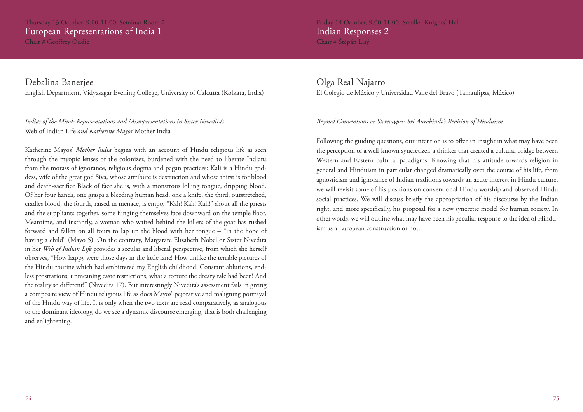### Thursday 13 October, 9.00-11.00, Seminar Room 2 European Representations of India 1 Chair # Geoffrey Oddie

Debalina Banerjee

English Department, Vidyasagar Evening College, University of Calcutta (Kolkata, India)

### *Indias of the Mind: Representations and Misrepresentations in Sister Nivedita's*  Web of Indian Life *and Katherine Mayos'* Mother India

Katherine Mayos' *Mother India* begins with an account of Hindu religious life as seen through the myopic lenses of the colonizer, burdened with the need to liberate Indians from the morass of ignorance, religious dogma and pagan practices: Kali is a Hindu goddess, wife of the great god Siva, whose attribute is destruction and whose thirst is for blood and death-sacrifice Black of face she is, with a monstrous lolling tongue, dripping blood. Of her four hands, one grasps a bleeding human head, one a knife, the third, outstretched, cradles blood, the fourth, raised in menace, is empty "Kali! Kali! Kali!" shout all the priests and the suppliants together, some flinging themselves face downward on the temple floor. Meantime, and instantly, a woman who waited behind the killers of the goat has rushed forward and fallen on all fours to lap up the blood with her tongue – "in the hope of having a child" (Mayo 5). On the contrary, Margarate Elizabeth Nobel or Sister Nivedita in her *Web of Indian Life* provides a secular and liberal perspective, from which she herself observes, "How happy were those days in the little lane! How unlike the terrible pictures of the Hindu routine which had embittered my English childhood! Constant ablutions, endless prostrations, unmeaning caste restrictions, what a torture the dreary tale had been! And the reality so different!" (Nivedita 17). But interestingly Nivedita's assessment fails in giving a composite view of Hindu religious life as does Mayos' pejorative and maligning portrayal of the Hindu way of life. It is only when the two texts are read comparatively, as analogous to the dominant ideology, do we see a dynamic discourse emerging, that is both challenging and enlightening.

Friday 14 October, 9.00-11.00, Smaller Knights' Hall Indian Responses 2 Chair # Štěpán Lisý

### Olga Real-Najarro El Colegio de México y Universidad Valle del Bravo (Tamaulipas, México)

### *Beyond Conventions or Stereotypes: Sri Aurobindo's Revision of Hinduism*

Following the guiding questions, our intention is to offer an insight in what may have been the perception of a well-known syncretizer, a thinker that created a cultural bridge between Western and Eastern cultural paradigms. Knowing that his attitude towards religion in general and Hinduism in particular changed dramatically over the course of his life, from agnosticism and ignorance of Indian traditions towards an acute interest in Hindu culture, we will revisit some of his positions on conventional Hindu worship and observed Hindu social practices. We will discuss briefly the appropriation of his discourse by the Indian right, and more specifically, his proposal for a new syncretic model for human society. In other words, we will outline what may have been his peculiar response to the idea of Hinduism as a European construction or not.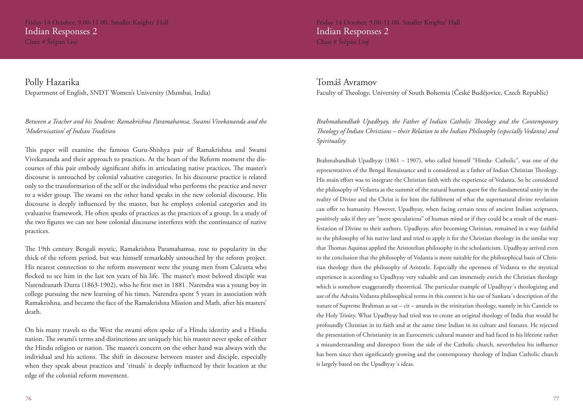Friday 14 October, 9.00-11.00, Smaller Knights' Hall Indian Responses 2 Chair # Štěpán Lisý

Polly Hazarika Department of English, SNDT Women's University (Mumbai, India)

### *Between a Teacher and his Student: Ramakrishna Paramahamsa, Swami Vivekananda and the 'Modernisation' of Indian Tradition*

This paper will examine the famous Guru-Shishya pair of Ramakrishna and Swami Vivekananda and their approach to practices. At the heart of the Reform moment the discourses of this pair embody significant shifts in articulating native practices. The master's discourse is untouched by colonial valuative categories. In his discourse practice is related only to the transformation of the self or the individual who performs the practice and never to a wider group. The swami on the other hand speaks in the new colonial discourse. His discourse is deeply influenced by the master, but he employs colonial categories and its evaluative framework. He often speaks of practices as the practices of a group. In a study of the two figures we can see how colonial discourse interferes with the continuance of native practices.

The 19th century Bengali mystic, Ramakrishna Paramahamsa, rose to popularity in the thick of the reform period, but was himself remarkably untouched by the reform project. His nearest connection to the reform movement were the young men from Calcutta who flocked to see him in the last ten years of his life. The master's most beloved disciple was Narendranath Dutta (1863-1902), who he first met in 1881. Narendra was a young boy in college pursuing the new learning of his times. Narendra spent 5 years in association with Ramakrishna, and became the face of the Ramakrishna Mission and Math, after his masters' death.

On his many travels to the West the swami often spoke of a Hindu identity and a Hindu nation. The swami's terms and distinctions are uniquely his; his master never spoke of either the Hindu religion or nation. The master's concern on the other hand was always with the individual and his actions. The shift in discourse between master and disciple, especially when they speak about practices and 'rituals' is deeply influenced by their location at the edge of the colonial reform movement.

Friday 14 October, 9.00-11.00, Smaller Knights' Hall Indian Responses 2 Chair # Štěpán Lisý

### Tomáš Avramov

Faculty of Theology, University of South Bohemia (České Budějovice, Czech Republic)

*Brahmabandhab Upadhyay, the Father of Indian Catholic Theology and the Contemporary Theology of Indian Christians – their Relation to the Indian Philosophy (especially Vedanta) and Spirituality* 

Brahmabandhab Upadhyay (1861 – 1907), who called himself "Hindu- Catholic", was one of the representatives of the Bengal Renaissance and is considered as a father of Indian Christian Theology. His main effort was to integrate the Christian faith with the experience of Vedanta. So he considered the philosophy of Vedanta as the summit of the natural human quest for the fundamental unity in the reality of Divine and the Christ is for him the fulfilment of what the supernatural divine revelation can offer to humanity. However, Upadhyay, when facing certain texts of ancient Indian scriptures, positively asks if they are "mere speculations" of human mind or if they could be a result of the manifestation of Divine to their authors. Upadhyay, after becoming Christian, remained in a way faithful to the philosophy of his native land and tried to apply it for the Christian theology in the similar way that Thomas Aquinas applied the Aristotelian philosophy in the scholasticism. Upadhyay arrived even to the conclusion that the philosophy of Vedanta is more suitable for the philosophical basis of Christian theology then the philosophy of Aristotle. Especially the openness of Vedanta to the mystical experience is according to Upadhyay very valuable and can immensely enrich the Christian theology which is somehow exaggeratedly theoretical. The particular example of Upadhyay´s theologizing and use of the Advaita Vedanta philosophical terms in this context is his use of Sankara´s description of the nature of Supreme Brahman as sat – cit – ananda in the trinitarian theology, namely in his Canticle to the Holy Trinity. What Upadhyay had tried was to create an original theology of India that would be profoundly Christian in its faith and at the same time Indian in its culture and features. He rejected the presentation of Christianity in an Eurocentric cultural manner and had faced in his lifetime rather a misunderstanding and disrespect from the side of the Catholic church, nevertheless his influence has been since then significantly growing and the contemporary theology of Indian Catholic church is largely based on the Upadhyay´s ideas.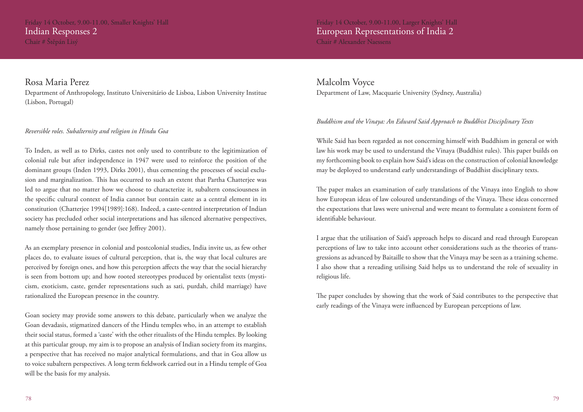Friday 14 October, 9.00-11.00, Smaller Knights' Hall Indian Responses 2 Chair # Štěpán Lisý

Rosa Maria Perez

Department of Anthropology, Instituto Universitário de Lisboa, Lisbon University Institue (Lisbon, Portugal)

### *Reversible roles. Subalternity and religion in Hindu Goa*

To Inden, as well as to Dirks, castes not only used to contribute to the legitimization of colonial rule but after independence in 1947 were used to reinforce the position of the dominant groups (Inden 1993, Dirks 2001), thus cementing the processes of social exclusion and marginalization. This has occurred to such an extent that Partha Chatterjee was led to argue that no matter how we choose to characterize it, subaltern consciousness in the specific cultural context of India cannot but contain caste as a central element in its constitution (Chatterjee 1994[1989]:168). Indeed, a caste-centred interpretation of Indian society has precluded other social interpretations and has silenced alternative perspectives, namely those pertaining to gender (see Jeffrey 2001).

As an exemplary presence in colonial and postcolonial studies, India invite us, as few other places do, to evaluate issues of cultural perception, that is, the way that local cultures are perceived by foreign ones, and how this perception affects the way that the social hierarchy is seen from bottom up; and how rooted stereotypes produced by orientalist texts (mysticism, exoticism, caste, gender representations such as sati, purdah, child marriage) have rationalized the European presence in the country.

Goan society may provide some answers to this debate, particularly when we analyze the Goan devadasis, stigmatized dancers of the Hindu temples who, in an attempt to establish their social status, formed a 'caste' with the other ritualists of the Hindu temples. By looking at this particular group, my aim is to propose an analysis of Indian society from its margins, a perspective that has received no major analytical formulations, and that in Goa allow us to voice subaltern perspectives. A long term fieldwork carried out in a Hindu temple of Goa will be the basis for my analysis.

Friday 14 October, 9.00-11.00, Larger Knights' Hall European Representations of India 2 Chair # Alexander Naessens

Malcolm Voyce Department of Law, Macquarie University (Sydney, Australia)

### *Buddhism and the Vinaya: An Edward Said Approach to Buddhist Disciplinary Texts*

While Said has been regarded as not concerning himself with Buddhism in general or with law his work may be used to understand the Vinaya (Buddhist rules). This paper builds on my forthcoming book to explain how Said's ideas on the construction of colonial knowledge may be deployed to understand early understandings of Buddhist disciplinary texts.

The paper makes an examination of early translations of the Vinaya into English to show how European ideas of law coloured understandings of the Vinaya. These ideas concerned the expectations that laws were universal and were meant to formulate a consistent form of identifiable behaviour.

I argue that the utilisation of Said's approach helps to discard and read through European perceptions of law to take into account other considerations such as the theories of transgressions as advanced by Baitaille to show that the Vinaya may be seen as a training scheme. I also show that a rereading utilising Said helps us to understand the role of sexuality in religious life.

The paper concludes by showing that the work of Said contributes to the perspective that early readings of the Vinaya were influenced by European perceptions of law.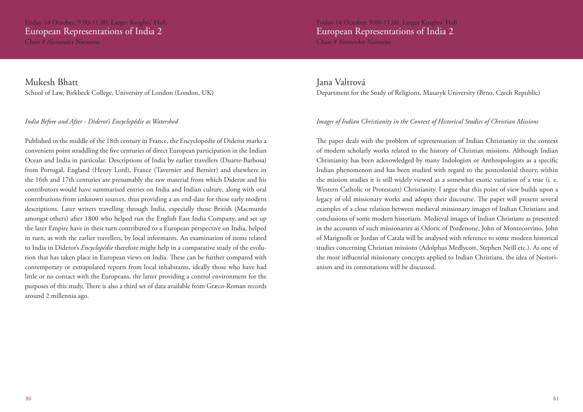Friday 14 October, 9.00-11.00, Larger Knights' Hall European Representations of India 2 Chair # Alexander Naessens

Mukesh Bhatt School of Law, Birkbeck College, University of London (London, UK)

### *India Before and After - Diderot's Encyclopédie as Watershed*

Published in the middle of the 18th century in France, the Encyclopédie of Diderot marks a convenient point straddling the five centuries of direct European participation in the Indian Ocean and India in particular. Descriptions of India by earlier travellers (Duarte-Barbosa) from Portugal, England (Henry Lord), France (Tavernier and Bernier) and elsewhere in the 16th and 17th centuries are presumably the raw material from which Diderot and his contributors would have summarised entries on India and Indian culture, along with oral contributions from unknown sources, thus providing a an end-date for these early modern descriptions. Later writers travelling through India, especially those British (Macmurdo amongst others) after 1800 who helped run the English East India Company, and set up the later Empire have in their turn contributed to a European perspective on India, helped in turn, as with the earlier travellers, by local informants. An examination of items related to India in Diderot's *Encyclopédie* therefore might help in a comparative study of the evolution that has taken place in European views on India. These can be further compared with contemporary or extrapolated reports from local inhabitants, ideally those who have had little or no contact with the Europeans, the latter providing a control environment for the purposes of this study, There is also a third set of data available from Græco-Roman records around 2 millennia ago.

Jana Valtrová Department for the Study of Religions, Masaryk University (Brno, Czech Republic)

### *Images of Indian Christianity in the Context of Historical Studies of Christian Missions*

The paper deals with the problem of representation of Indian Christianity in the context of modern scholarly works related to the history of Christian missions. Although Indian Christianity has been acknowledged by many Indologists or Anthropologists as a specific Indian phenomenon and has been studied with regard to the postcolonial theory, within the mission studies it is still widely viewed as a somewhat exotic variation of a true (i. e. Western Catholic or Protestant) Christianity. I argue that this point of view builds upon a legacy of old missionary works and adopts their discourse. The paper will present several examples of a close relation between medieval missionary images of Indian Christians and conclusions of some modern historians. Medieval images of Indian Christians as presented in the accounts of such missionaries as Odoric of Pordenone, John of Montecorvino, John of Marignolli or Jordan of Catala will be analysed with reference to some modern historical studies concerning Christian missions (Adolphus Medlycott, Stephen Neill etc.). As one of the most influential missionary concepts applied to Indian Christians, the idea of Nestorianism and its connotations will be discussed.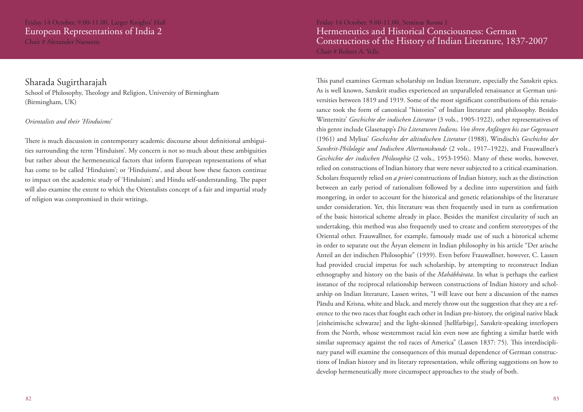### Sharada Sugirtharajah

School of Philosophy, Theology and Religion, University of Birmingham (Birmingham, UK)

### *Orientalists and their 'Hinduisms'*

There is much discussion in contemporary academic discourse about definitional ambiguities surrounding the term 'Hinduism'. My concern is not so much about these ambiguities but rather about the hermeneutical factors that inform European representations of what has come to be called 'Hinduism'; or 'Hinduisms', and about how these factors continue to impact on the academic study of 'Hinduism'; and Hindu self-understanding. The paper will also examine the extent to which the Orientalists concept of a fair and impartial study of religion was compromised in their writings.

Friday 14 October, 9.00-11.00, Seminar Room 1 Hermeneutics and Historical Consciousness: German Constructions of the History of Indian Literature, 1837-2007 Chair # Robert A. Yelle

This panel examines German scholarship on Indian literature, especially the Sanskrit epics. As is well known, Sanskrit studies experienced an unparalleled renaissance at German universities between 1819 and 1919. Some of the most significant contributions of this renaissance took the form of canonical "histories" of Indian literature and philosophy. Besides Winternitz' *Geschichte der indischen Literatur* (3 vols., 1905-1922), other representatives of this genre include Glasenapp's *Die Literaturen Indiens. Von ihren Anfängen bis zur Gegenwart*  (1961) and Mylius' *Geschichte der altindischen Literatur* (1988), Windisch's *Geschichte der Sanskrit-Philologie und Indischen Altertumskunde* (2 vols., 1917–1922), and Frauwallner's *Geschichte der indischen Philosophie* (2 vols., 1953-1956). Many of these works, however, relied on constructions of Indian history that were never subjected to a critical examination. Scholars frequently relied on *a priori* constructions of Indian history, such as the distinction between an early period of rationalism followed by a decline into superstition and faith mongering, in order to account for the historical and genetic relationships of the literature under consideration. Yet, this literature was then frequently used in turn as confirmation of the basic historical scheme already in place. Besides the manifest circularity of such an undertaking, this method was also frequently used to create and confirm stereotypes of the Oriental other. Frauwallner, for example, famously made use of such a historical scheme in order to separate out the Āryan element in Indian philosophy in his article "Der arische Anteil an der indischen Philosophie" (1939). Even before Frauwallner, however, C. Lassen had provided crucial impetus for such scholarship, by attempting to reconstruct Indian ethnography and history on the basis of the *Mahābhārata*. In what is perhaps the earliest instance of the reciprocal relationship between constructions of Indian history and scholarship on Indian literature, Lassen writes, "I will leave out here a discussion of the names Pându and Krisna, white and black, and merely throw out the suggestion that they are a reference to the two races that fought each other in Indian pre-history, the original native black [einheimische schwarze] and the light-skinned [hellfarbige], Sanskrit-speaking interlopers from the North, whose westernmost racial kin even now are fighting a similar battle with similar supremacy against the red races of America" (Lassen 1837: 75). This interdisciplinary panel will examine the consequences of this mutual dependence of German constructions of Indian history and its literary representation, while offering suggestions on how to develop hermeneutically more circumspect approaches to the study of both.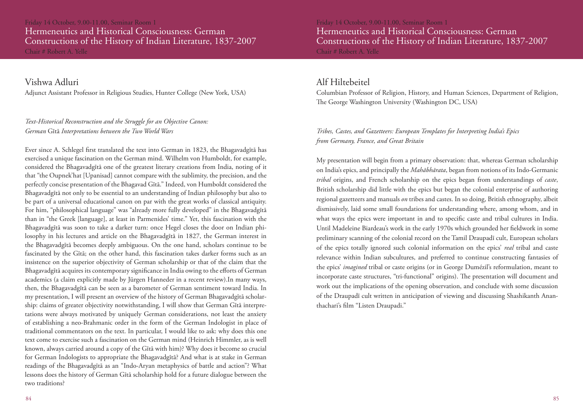Friday 14 October, 9.00-11.00, Seminar Room 1 Hermeneutics and Historical Consciousness: German Constructions of the History of Indian Literature, 1837-2007 Chair # Robert A. Yelle

Vishwa Adluri

Adjunct Assistant Professor in Religious Studies, Hunter College (New York, USA)

### *Text-Historical Reconstruction and the Struggle for an Objective Canon: German* Gītā *Interpretations between the Two World Wars*

Ever since A. Schlegel first translated the text into German in 1823, the Bhagavadgītā has exercised a unique fascination on the German mind. Wilhelm von Humboldt, for example, considered the Bhagavadgītā one of the greatest literary creations from India, noting of it that "the Oupnek'hat [Upanisad] cannot compare with the sublimity, the precision, and the perfectly concise presentation of the Bhagavad Gītā." Indeed, von Humboldt considered the Bhagavadgītā not only to be essential to an understanding of Indian philosophy but also to be part of a universal educational canon on par with the great works of classical antiquity. For him, "philosophical language" was "already more fully developed" in the Bhagavadgītā than in "the Greek [language], at least in Parmenides' time." Yet, this fascination with the Bhagavadgītā was soon to take a darker turn: once Hegel closes the door on Indian philosophy in his lectures and article on the Bhagavadgītā in 1827, the German interest in the Bhagavadgītā becomes deeply ambiguous. On the one hand, scholars continue to be fascinated by the Gītā; on the other hand, this fascination takes darker forms such as an insistence on the superior objectivity of German scholarship or that of the claim that the Bhagavadgītā acquires its contemporary significance in India owing to the efforts of German academics (a claim explicitly made by Jürgen Hanneder in a recent review).In many ways, then, the Bhagavadgītā can be seen as a barometer of German sentiment toward India. In my presentation, I will present an overview of the history of German Bhagavadgītā scholarship: claims of greater objectivity notwithstanding, I will show that German Gītā interpretations were always motivated by uniquely German considerations, not least the anxiety of establishing a neo-Brahmanic order in the form of the German Indologist in place of traditional commentators on the text. In particular, I would like to ask: why does this one text come to exercise such a fascination on the German mind (Heinrich Himmler, as is well known, always carried around a copy of the Gītā with him)? Why does it become so crucial for German Indologists to appropriate the Bhagavadgītā? And what is at stake in German readings of the Bhagavadgītā as an "Indo-Aryan metaphysics of battle and action"? What lessons does the history of German Gītā scholarship hold for a future dialogue between the two traditions?

Friday 14 October, 9.00-11.00, Seminar Room 1 Hermeneutics and Historical Consciousness: German Constructions of the History of Indian Literature, 1837-2007 Chair # Robert A. Yelle

### Alf Hiltebeitel

Columbian Professor of Religion, History, and Human Sciences, Department of Religion, The George Washington University (Washington DC, USA)

### *Tribes, Castes, and Gazetteers: European Templates for Interpreting India's Epics from Germany, France, and Great Britain*

My presentation will begin from a primary observation: that, whereas German scholarship on India's epics, and principally the *Mahābhārata*, began from notions of its Indo-Germanic *tribal* origins, and French scholarship on the epics began from understandings of *caste*, British scholarship did little with the epics but began the colonial enterprise of authoring regional gazetteers and manuals *on* tribes and castes. In so doing, British ethnography, albeit dismissively, laid some small foundations for understanding where, among whom, and in what ways the epics were important in and to specific caste and tribal cultures in India. Until Madeleine Biardeau's work in the early 1970s which grounded her fieldwork in some preliminary scanning of the colonial record on the Tamil Draupadī cult, European scholars of the epics totally ignored such colonial information on the epics' *real* tribal and caste relevance within Indian subcultures, and preferred to continue constructing fantasies of the epics' *imagined* tribal or caste origins (or in George Dumézil's reformulation, meant to incorporate caste structures, "tri-functional" origins). The presentation will document and work out the implications of the opening observation, and conclude with some discussion of the Draupadī cult written in anticipation of viewing and discussing Shashikanth Ananthachari's film "Listen Draupadi."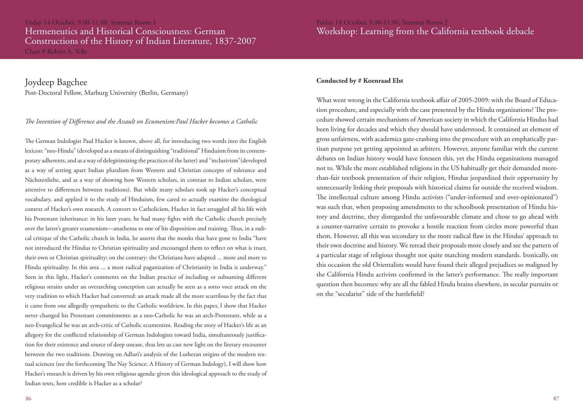Joydeep Bagchee Post-Doctoral Fellow, Marburg University (Berlin, Germany)

### *The Invention of Difference and the Assault on Ecumenism:Paul Hacker becomes a Catholic*

The German Indologist Paul Hacker is known, above all, for introducing two words into the English lexicon: "neo-Hindu" (developed as a means of distinguishing "traditional" Hinduism from its contemporary adherents, and as a way of delegitimizing the practices of the latter) and "inclusivism"(developed as a way of setting apart Indian pluralism from Western and Christian concepts of tolerance and Nächstenliebe, and as a way of showing how Western scholars, in contrast to Indian scholars, were attentive to differences between traditions). But while many scholars took up Hacker's conceptual vocabulary, and applied it to the study of Hinduism, few cared to actually examine the theological context of Hacker's own research. A convert to Catholicism, Hacker in fact struggled all his life with his Protestant inheritance: in his later years, he had many fights with the Catholic church precisely over the latter's greater ecumenism—anathema to one of his disposition and training. Thus, in a radical critique of the Catholic church in India, he asserts that the monks that have gone to India "have not introduced the Hindus to Christian spirituality and encouraged them to reflect on what is truer, their own or Christian spirituality; on the contrary: the Christians have adapted ... more and more to Hindu spirituality. In this area ... a most radical paganization of Christianity in India is underway." Seen in this light, Hacker's comments on the Indian practice of including or subsuming different religious strains under an overarching conception can actually be seen as a sotto voce attack on the very tradition to which Hacker had converted: an attack made all the more scurrilous by the fact that it came from one allegedly sympathetic to the Catholic worldview. In this paper, I show that Hacker never changed his Protestant commitments: as a neo-Catholic he was an arch-Protestant, while as a neo-Evangelical he was an arch-critic of Catholic ecumenism. Reading the story of Hacker's life as an allegory for the conflicted relationship of German Indologists toward India, simultaneously justification for their existence and source of deep unease, thus lets us cast new light on the literary encounter between the two traditions. Drawing on Adluri's analysis of the Lutheran origins of the modern textual sciences (see the forthcoming The Nay Science: A History of German Indology), I will show how Hacker's research is driven by his own religious agenda: given this ideological approach to the study of Indian texts, how credible is Hacker as a scholar?

### **Conducted by # Koenraad Elst**

What went wrong in the California textbook affair of 2005-2009: with the Board of Education procedure, and especially with the case presented by the Hindu organizations? The procedure showed certain mechanisms of American society in which the California Hindus had been living for decades and which they should have understood. It contained an element of gross unfairness, with academics gate-crashing into the procedure with an emphatically partisan purpose yet getting appointed as arbiters. However, anyone familiar with the current debates on Indian history would have foreseen this, yet the Hindu organizations managed not to. While the more established religions in the US habitually get their demanded morethan-fair textbook presentation of their religion, Hindus jeopardized their opportunity by unnecessarily linking their proposals with historical claims far outside the received wisdom. The intellectual culture among Hindu activists ("under-informed and over-opinionated") was such that, when proposing amendments to the schoolbook presentation of Hindu history and doctrine, they disregarded the unfavourable climate and chose to go ahead with a counter-narrative certain to provoke a hostile reaction from circles more powerful than them. However, all this was secondary to the more radical flaw in the Hindus' approach to their own doctrine and history. We reread their proposals more closely and see the pattern of a particular stage of religious thought not quite matching modern standards. Ironically, on this occasion the old Orientalists would have found their alleged prejudices so maligned by the California Hindu activists confirmed in the latter's performance. The really important question then becomes: why are all the fabled Hindu brains elsewhere, in secular pursuits or on the "secularist" side of the battlefield?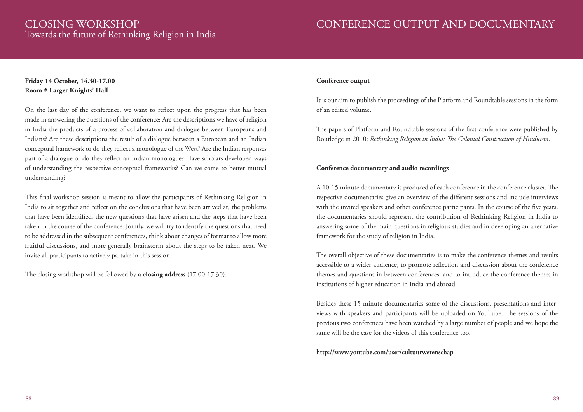# CLOSING WORKSHOP

Towards the future of Rethinking Religion in India

### CONFERENCE OUTPUT AND DOCUMENTARY

### **Friday 14 October, 14.30-17.00 Room # Larger Knights' Hall**

On the last day of the conference, we want to reflect upon the progress that has been made in answering the questions of the conference: Are the descriptions we have of religion in India the products of a process of collaboration and dialogue between Europeans and Indians? Are these descriptions the result of a dialogue between a European and an Indian conceptual framework or do they reflect a monologue of the West? Are the Indian responses part of a dialogue or do they reflect an Indian monologue? Have scholars developed ways of understanding the respective conceptual frameworks? Can we come to better mutual understanding?

This final workshop session is meant to allow the participants of Rethinking Religion in India to sit together and reflect on the conclusions that have been arrived at, the problems that have been identified, the new questions that have arisen and the steps that have been taken in the course of the conference. Jointly, we will try to identify the questions that need to be addressed in the subsequent conferences, think about changes of format to allow more fruitful discussions, and more generally brainstorm about the steps to be taken next. We invite all participants to actively partake in this session.

The closing workshop will be followed by **a closing address** (17.00-17.30).

### **Conference output**

It is our aim to publish the proceedings of the Platform and Roundtable sessions in the form of an edited volume.

The papers of Platform and Roundtable sessions of the first conference were published by Routledge in 2010: *Rethinking Religion in India: The Colonial Construction of Hinduism*.

### **Conference documentary and audio recordings**

A 10-15 minute documentary is produced of each conference in the conference cluster. The respective documentaries give an overview of the different sessions and include interviews with the invited speakers and other conference participants. In the course of the five years, the documentaries should represent the contribution of Rethinking Religion in India to answering some of the main questions in religious studies and in developing an alternative framework for the study of religion in India.

The overall objective of these documentaries is to make the conference themes and results accessible to a wider audience, to promote reflection and discussion about the conference themes and questions in between conferences, and to introduce the conference themes in institutions of higher education in India and abroad.

Besides these 15-minute documentaries some of the discussions, presentations and interviews with speakers and participants will be uploaded on YouTube. The sessions of the previous two conferences have been watched by a large number of people and we hope the same will be the case for the videos of this conference too.

### **http://www.youtube.com/user/cultuurwetenschap**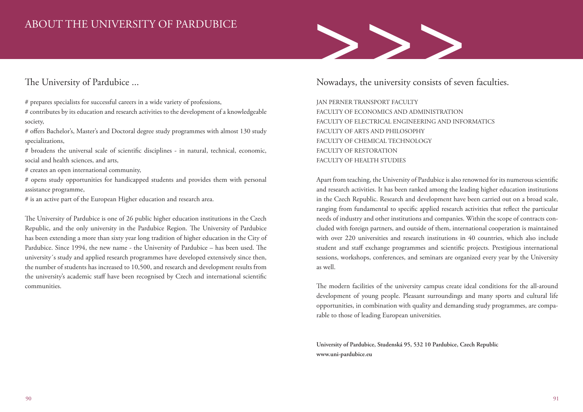### ABOUT THE UNIVERSITY OF PARDUBICE

### The University of Pardubice ...

# prepares specialists for successful careers in a wide variety of professions,

# contributes by its education and research activities to the development of a knowledgeable society,

# offers Bachelor's, Master's and Doctoral degree study programmes with almost 130 study specializations,

# broadens the universal scale of scientific disciplines - in natural, technical, economic, social and health sciences, and arts,

# creates an open international community,

# opens study opportunities for handicapped students and provides them with personal assistance programme,

# is an active part of the European Higher education and research area.

The University of Pardubice is one of 26 public higher education institutions in the Czech Republic, and the only university in the Pardubice Region. The University of Pardubice has been extending a more than sixty year long tradition of higher education in the City of Pardubice. Since 1994, the new name - the University of Pardubice – has been used. The university´s study and applied research programmes have developed extensively since then, the number of students has increased to 10,500, and research and development results from the university's academic staff have been recognised by Czech and international scientific communities.

### Nowadays, the university consists of seven faculties.

>>>

JAN PERNER TRANSPORT FACULTY FACULTY OF ECONOMICS AND ADMINISTRATION FACULTY OF ELECTRICAL ENGINEERING AND INFORMATICS FACULTY OF ARTS AND PHILOSOPHY FACULTY OF CHEMICAL TECHNOLOGY FACULTY OF RESTORATION FACULTY OF HEALTH STUDIES

Apart from teaching, the University of Pardubice is also renowned for its numerous scientific and research activities. It has been ranked among the leading higher education institutions in the Czech Republic. Research and development have been carried out on a broad scale, ranging from fundamental to specific applied research activities that reflect the particular needs of industry and other institutions and companies. Within the scope of contracts concluded with foreign partners, and outside of them, international cooperation is maintained with over 220 universities and research institutions in 40 countries, which also include student and staff exchange programmes and scientific projects. Prestigious international sessions, workshops, conferences, and seminars are organized every year by the University as well.

The modern facilities of the university campus create ideal conditions for the all-around development of young people. Pleasant surroundings and many sports and cultural life opportunities, in combination with quality and demanding study programmes, are comparable to those of leading European universities.

**University of Pardubice, Studenská 95, 532 10 Pardubice, Czech Republic www.uni-pardubice.eu**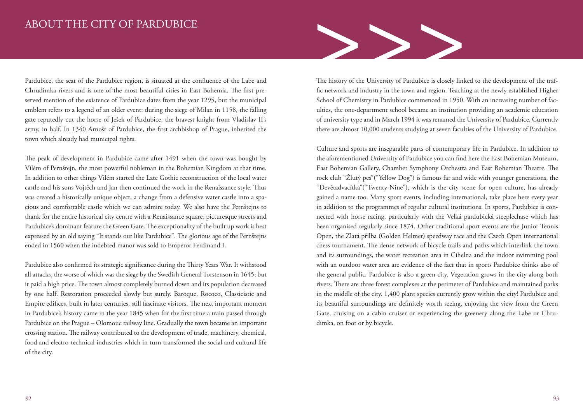### ABOUT THE CITY OF PARDUBICE

Pardubice, the seat of the Pardubice region, is situated at the confluence of the Labe and Chrudimka rivers and is one of the most beautiful cities in East Bohemia. The first preserved mention of the existence of Pardubice dates from the year 1295, but the municipal emblem refers to a legend of an older event: during the siege of Milan in 1158, the falling gate reputedly cut the horse of Ješek of Pardubice, the bravest knight from Vladislav II's army, in half. In 1340 Arnošt of Pardubice, the first archbishop of Prague, inherited the town which already had municipal rights.

The peak of development in Pardubice came after 1491 when the town was bought by Vilém of Pernštejn, the most powerful nobleman in the Bohemian Kingdom at that time. In addition to other things Vilém started the Late Gothic reconstruction of the local water castle and his sons Vojtěch and Jan then continued the work in the Renaissance style. Thus was created a historically unique object, a change from a defensive water castle into a spacious and comfortable castle which we can admire today. We also have the Pernštejns to thank for the entire historical city centre with a Renaissance square, picturesque streets and Pardubice's dominant feature the Green Gate. The exceptionality of the built up work is best expressed by an old saying "It stands out like Pardubice". The glorious age of the Pernštejns ended in 1560 when the indebted manor was sold to Emperor Ferdinand I.

Pardubice also confirmed its strategic significance during the Thirty Years War. It withstood all attacks, the worse of which was the siege by the Swedish General Torstenson in 1645; but it paid a high price. The town almost completely burned down and its population decreased by one half. Restoration proceeded slowly but surely. Baroque, Rococo, Classicistic and Empire edifices, built in later centuries, still fascinate visitors. The next important moment in Pardubice's history came in the year 1845 when for the first time a train passed through Pardubice on the Prague – Olomouc railway line. Gradually the town became an important crossing station. The railway contributed to the development of trade, machinery, chemical, food and electro-technical industries which in turn transformed the social and cultural life of the city.



The history of the University of Pardubice is closely linked to the development of the traffic network and industry in the town and region. Teaching at the newly established Higher School of Chemistry in Pardubice commenced in 1950. With an increasing number of faculties, the one-department school became an institution providing an academic education of university type and in March 1994 it was renamed the University of Pardubice. Currently there are almost 10,000 students studying at seven faculties of the University of Pardubice.

Culture and sports are inseparable parts of contemporary life in Pardubice. In addition to the aforementioned University of Pardubice you can find here the East Bohemian Museum, East Bohemian Gallery, Chamber Symphony Orchestra and East Bohemian Theatre. The rock club "Žlutý pes"("Yellow Dog") is famous far and wide with younger generations, the "Devětadvacítka"("Twenty-Nine"), which is the city scene for open culture, has already gained a name too. Many sport events, including international, take place here every year in addition to the programmes of regular cultural institutions. In sports, Pardubice is connected with horse racing, particularly with the Velká pardubická steeplechase which has been organised regularly since 1874. Other traditional sport events are the Junior Tennis Open, the Zlatá přilba (Golden Helmet) speedway race and the Czech Open international chess tournament. The dense network of bicycle trails and paths which interlink the town and its surroundings, the water recreation area in Cihelna and the indoor swimming pool with an outdoor water area are evidence of the fact that in sports Pardubice thinks also of the general public. Pardubice is also a green city. Vegetation grows in the city along both rivers. There are three forest complexes at the perimeter of Pardubice and maintained parks in the middle of the city. 1,400 plant species currently grow within the city! Pardubice and its beautiful surroundings are definitely worth seeing, enjoying the view from the Green Gate, cruising on a cabin cruiser or experiencing the greenery along the Labe or Chrudimka, on foot or by bicycle.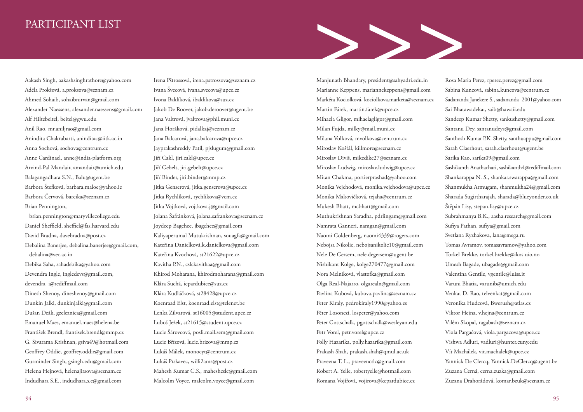### PARTICIPANT LIST

Aakash Singh, aakashsinghrathore@yahoo.com Adéla Prokšová, a.proksova@seznam.cz Ahmed Sohaib, sohaibnirvan@gmail.com Alexander Naessens, alexander.naessens@gmail.com Alf Hiltebeitel, beitel@gwu.edu Anil Rao, mr.aniljrao@gmail.com Anindita Chakrabarti, aninditac@iitk.ac.in Anna Sochová, sochova@centrum.cz Anne Cardinael, anne@india-platform.org Arvind-Pal Mandair, amandair@umich.edu Balagangadhara S.N., Balu@ugent.be Barbora Štefková, barbara.maloe@yahoo.ie Barbora Červová, barcika@seznam.cz Brian Pennington, brian.pennington@maryvillecollege.edu

Daniel Sheffield, sheffiel@fas.harvard.edu David Bradna, davebradna@post.cz Debalina Banerjee, debalina.banerjee@gmail.com, debalina@vec.ac.in Debika Saha, sahadebika@yahoo.com Devendra Ingle, ingledevs@gmail.com, devendra\_i@rediffmail.com Dinesh Shenoy, dineshenoy@gmail.com Dunkin Jalki, dunkinjalki@gmail.com Dušan Deák, gzeleznica@gmail.com Emanuel Maes, emanuel.maes@helena.be František Brendl, frantisek.brendl@mmp.cz G. Sivarama Krishnan, gsiva49@hotmail.com Geoffrey Oddie, geoffrey.oddie@gmail.com Gurminder Singh, gsingh.edu@gmail.com Helena Hejnová, helenajirsova@seznam.cz Indudhara S.E., indudhara.s.e@gmail.com

Irena Pštrossová, irena.pstrossova@seznam.cz Ivana Švecová, ivana.svecova@upce.cz Ivona Baklíková, ibaklikova@suz.cz Jakob De Roover, jakob.deroover@ugent.be Jana Valtrová, jvaltrova@phil.muni.cz Jana Horáková, pidalkaj@seznam.cz Jana Balcarová, jana.balcarova@upce.cz Jayprakashreddy Patil, pjslugum@gmail.com Jiří Cakl, jiri.cakl@upce.cz Jiří Gebelt, jiri.gebelt@upce.cz Jiří Binder, jiri.binder@mmp.cz Jitka Genserová, jitka.genserova@upce.cz Jitka Rychlíková, rychlikova@vcm.cz Jitka Vojtková, vojtkova.j@gmail.com Jolana Šafránková, jolana.safrankova@seznam.cz Joydeep Bagchee, jbagchee@gmail.com Kaliyaperumal Mutukrishnan, souagfa@gmail.com Kateřina Danielková,k.danielkova@gmail.com Kateřina Kvochová, st21622@upce.cz Kavitha P.N., cslckavithaa@gmail.com Khirod Moharana, khirodmoharana@gmail.com Klára Suchá, icpardubice@suz.cz Klára Kudláčková, st28428@upce.cz Koenraad Elst, koenraad.elst@telenet.be Lenka Zilvarová, st16005@student.upce.cz Luboš Ježek, st21615@student.upce.cz Lucie Šárovcová, posli.mail.sem@gmail.com Lucie Břízová, lucie.brizova@mmp.cz Lukáš Málek, monocyt@centrum.cz Lukáš Prskavec, willi2ams@post.cz Mahesh Kumar C.S., maheshcslc@gmail.com Malcolm Voyce, malcolm.voyce@gmail.com

Manjunath Bhandary, president@sahyadri.edu.in Marianne Keppens, mariannekeppens@gmail.com Markéta Kociolková, kociolkova.marketa@seznam.cz Martin Fárek, martin.farek@upce.cz Mihaela Gligor, mihaelagligor@gmail.com Milan Fujda, milky@mail.muni.cz Milana Volková, mvolkova@centrum.cz Miroslav Košťál, killmore@seznam.cz Miroslav Diviš, mikedike27@seznam.cz Miroslav Ludwig, miroslav.ludwig@upce.cz Mitan Chakma, portierprashad@yahoo.com Monika Vejchodová, monika.vejchodova@upce.cz Monika Makovičková, tejaha@centrum.cz Mukesh Bhatt, mcbhatt@gmail.com Muthukrishnan Saradha, pdrlingam@gmail.com Namrata Ganneri, namgan@gmail.com Naomi Goldenberg, naomi4339@rogers.com Nebojsa Nikolic, nebojsanikolic10@gmail.com Nele De Gersem, nele.degersem@ugent.be Nishikant Kolge, kolge270477@gmail.com Nora Melniková, vlastofka@gmail.com Olga Real-Najarro, olgarealn@gmail.com Pavlína Kubová, kubova.pavlina@seznam.cz Peter Kiraly, pedrokiraly1990@yahoo.es Péter Losonczi, lospeter@yahoo.com Peter Gottschalk, pgottschalk@wesleyan.edu Petr Vorel, petr.vorel@upce.cz Polly Hazarika, polly.hazarika@gmail.com Prakash Shah, prakash.shah@qmul.ac.uk Praveena T. L., praveencslc@gmail.com Robert A. Yelle, robertyelle@hotmail.com Romana Vojířová, vojirova@kcpardubice.cz

>>>

Rosa Maria Perez, rperez.perez@gmail.com Sabina Kuncová, sabina.kuncova@centrum.cz Sadananda Janekere S., sadananda\_2001@yahoo.com Sai Bhatawadekar, saib@hawaii.edu Sandeep Kumar Shetty, sankushetty@gmail.com Santanu Dey, santanudeys@gmail.com Santhosh Kumar P.K. Shetty, santhuappu@gmail.com Sarah Claerhout, sarah.claerhout@ugent.be Sarika Rao, sarika09@gmail.com Sashikanth Anathachari, sashikanth4@rediffmail.com Shankarappa N. S., shankar.swarappa@gmail.com Shanmukha Armugam, shanmukha24@gmail.com Sharada Sugirtharajah, sharada@blueyonder.co.uk Štěpán Lisy, stepan.lisy@upce.cz Subrahmanya B.K., aasha.research@gmail.com Sufiya Pathan, sufiya@gmail.com Svetlana Ryzhakova, lana@mega.ru Tomas Avramov, tomasavramov@yahoo.com Torkel Brekke, torkel.brekke@ikos.uio.no Umesh Bagade, ubagade@gmail.com Valentina Gentile, vgentile@luiss.it Varuni Bhatia, varunib@umich.edu Venkat D. Rao, telvenkat@gmail.com Veronika Hudcová, Bwerush@atlas.cz Viktor Hejna, v.hejna@centrum.cz Vilém Skopal, ragabash@seznam.cz Viola Pargačová, viola.pargacova@upce.cz Vishwa Adluri, vadluri@hunter.cuny.edu Vít Machálek, vit.machalek@upce.cz Yannick De Clercq, Yannick.DeClercq@ugent.be Zuzana Černá, cerna.zuzka@gmail.com Zuzana Drahorádová, komar.bzuk@seznam.cz